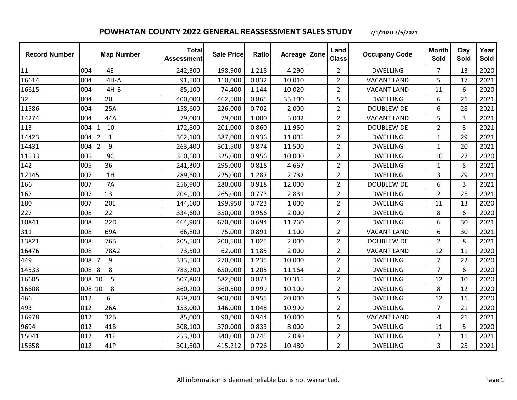| <b>Record Number</b> | <b>Map Number</b>         | <b>Total</b><br><b>Assessment</b> | <b>Sale Price</b> | Ratio | Acreage Zone | Land<br><b>Class</b> | <b>Occupany Code</b> | <b>Month</b><br>Sold | Day<br>Sold    | Year<br>Sold |
|----------------------|---------------------------|-----------------------------------|-------------------|-------|--------------|----------------------|----------------------|----------------------|----------------|--------------|
| 11                   | 4E<br>004                 | 242,300                           | 198,900           | 1.218 | 4.290        | $\overline{2}$       | <b>DWELLING</b>      | $\overline{7}$       | 13             | 2020         |
| 16614                | 004<br>$4H-A$             | 91,500                            | 110,000           | 0.832 | 10.010       | $\overline{2}$       | <b>VACANT LAND</b>   | 5                    | 17             | 2021         |
| 16615                | $4H-B$<br>004             | 85,100                            | 74,400            | 1.144 | 10.020       | $\overline{2}$       | <b>VACANT LAND</b>   | 11                   | 6              | 2020         |
| 32                   | 004<br>20                 | 400,000                           | 462,500           | 0.865 | 35.100       | 5                    | <b>DWELLING</b>      | 6                    | 21             | 2021         |
| 11586                | 25A<br>004                | 158,600                           | 226,000           | 0.702 | 2.000        | $\overline{2}$       | <b>DOUBLEWIDE</b>    | 6                    | 28             | 2021         |
| 14274                | 44A<br>004                | 79,000                            | 79,000            | 1.000 | 5.002        | $\overline{2}$       | <b>VACANT LAND</b>   | 5                    | 3              | 2021         |
| 113                  | 10<br>004 1               | 172,800                           | 201,000           | 0.860 | 11.950       | $\overline{2}$       | <b>DOUBLEWIDE</b>    | $\overline{2}$       | $\overline{3}$ | 2021         |
| 14423                | 004 2<br>$\mathbf{1}$     | 362,100                           | 387,000           | 0.936 | 11.005       | $\overline{2}$       | <b>DWELLING</b>      | $\mathbf{1}$         | 29             | 2021         |
| 14431                | 004 2<br>9                | 263,400                           | 301,500           | 0.874 | 11.500       | $\overline{2}$       | <b>DWELLING</b>      | $\mathbf{1}$         | 20             | 2021         |
| 11533                | 9C<br>005                 | 310,600                           | 325,000           | 0.956 | 10.000       | $\overline{2}$       | <b>DWELLING</b>      | 10                   | 27             | 2020         |
| 142                  | 36<br>005                 | 241,300                           | 295,000           | 0.818 | 4.667        | $\overline{2}$       | <b>DWELLING</b>      | $\mathbf{1}$         | 5              | 2021         |
| 12145                | 1H<br>007                 | 289,600                           | 225,000           | 1.287 | 2.732        | $\overline{2}$       | <b>DWELLING</b>      | 3                    | 29             | 2021         |
| 166                  | <b>7A</b><br>007          | 256,900                           | 280,000           | 0.918 | 12.000       | $\overline{2}$       | <b>DOUBLEWIDE</b>    | 6                    | 3              | 2021         |
| 167                  | 007<br>13                 | 204,900                           | 265,000           | 0.773 | 2.831        | $\overline{2}$       | <b>DWELLING</b>      | $\overline{2}$       | 25             | 2021         |
| 180                  | 007<br>20E                | 144,600                           | 199,950           | 0.723 | 1.000        | $\overline{2}$       | <b>DWELLING</b>      | 11                   | 13             | 2020         |
| 227                  | 22<br>008                 | 334,600                           | 350,000           | 0.956 | 2.000        | $\overline{2}$       | <b>DWELLING</b>      | 8                    | 6              | 2020         |
| 10841                | 22D<br>008                | 464,900                           | 670,000           | 0.694 | 11.760       | $\overline{2}$       | <b>DWELLING</b>      | 6                    | 30             | 2021         |
| 311                  | 008<br>69A                | 66,800                            | 75,000            | 0.891 | 1.100        | $\overline{2}$       | <b>VACANT LAND</b>   | 6                    | 30             | 2021         |
| 13821                | 76B<br>008                | 205,500                           | 200,500           | 1.025 | 2.000        | $\overline{2}$       | <b>DOUBLEWIDE</b>    | $\overline{2}$       | 8              | 2021         |
| 16476                | 78A2<br>008               | 73,500                            | 62,000            | 1.185 | 2.000        | $\overline{2}$       | <b>VACANT LAND</b>   | 12                   | 11             | 2020         |
| 449                  | $\boldsymbol{9}$<br>008 7 | 333,500                           | 270,000           | 1.235 | 10.000       | $\overline{2}$       | <b>DWELLING</b>      | $\overline{7}$       | 22             | 2020         |
| 14533                | 8<br>008 8                | 783,200                           | 650,000           | 1.205 | 11.164       | $\overline{2}$       | <b>DWELLING</b>      | $\overline{7}$       | 6              | 2020         |
| 16605                | 5<br>008 10               | 507,800                           | 582,000           | 0.873 | 10.315       | $\overline{2}$       | <b>DWELLING</b>      | 12                   | 10             | 2020         |
| 16608                | 8<br>008 10               | 360,200                           | 360,500           | 0.999 | 10.100       | $\overline{2}$       | <b>DWELLING</b>      | 8                    | 12             | 2020         |
| 466                  | 012<br>6                  | 859,700                           | 900,000           | 0.955 | 20.000       | 5                    | <b>DWELLING</b>      | 12                   | 11             | 2020         |
| 493                  | 012<br>26A                | 153,000                           | 146,000           | 1.048 | 10.990       | $\overline{2}$       | <b>DWELLING</b>      | $\overline{7}$       | 21             | 2020         |
| 16978                | 012<br>32B                | 85,000                            | 90,000            | 0.944 | 10.000       | 5                    | <b>VACANT LAND</b>   | 4                    | 21             | 2021         |
| 9694                 | 41B<br>012                | 308,100                           | 370,000           | 0.833 | 8.000        | $\overline{2}$       | <b>DWELLING</b>      | 11                   | 5              | 2020         |
| 15041                | 41F<br>012                | 253,300                           | 340,000           | 0.745 | 2.030        | $\overline{2}$       | <b>DWELLING</b>      | $\overline{2}$       | 11             | 2021         |
| 15658                | 012<br>41P                | 301,500                           | 415,212           | 0.726 | 10.480       | $\overline{2}$       | <b>DWELLING</b>      | 3                    | 25             | 2021         |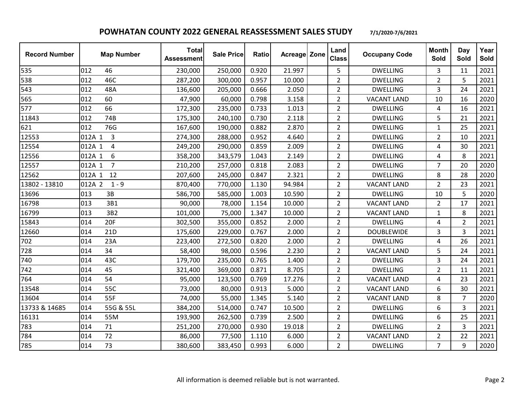| <b>Record Number</b> | <b>Map Number</b>        | <b>Total</b><br><b>Assessment</b> | Sale Price | Ratio | <b>Acreage Zone</b> | Land<br><b>Class</b> | <b>Occupany Code</b> | <b>Month</b><br>Sold | Day<br>Sold    | Year<br>Sold |
|----------------------|--------------------------|-----------------------------------|------------|-------|---------------------|----------------------|----------------------|----------------------|----------------|--------------|
| 535                  | 012<br>46                | 230,000                           | 250,000    | 0.920 | 21.997              | 5                    | <b>DWELLING</b>      | 3                    | 11             | 2021         |
| 538                  | 46C<br>012               | 287,200                           | 300,000    | 0.957 | 10.000              | $\overline{2}$       | <b>DWELLING</b>      | $\overline{2}$       | 5              | 2021         |
| 543                  | 012<br>48A               | 136,600                           | 205,000    | 0.666 | 2.050               | $\overline{2}$       | <b>DWELLING</b>      | 3                    | 24             | 2021         |
| 565                  | 012<br>60                | 47,900                            | 60,000     | 0.798 | 3.158               | $\overline{2}$       | <b>VACANT LAND</b>   | 10                   | 16             | 2020         |
| 577                  | 66<br>012                | 172,300                           | 235,000    | 0.733 | 1.013               | $\overline{2}$       | <b>DWELLING</b>      | 4                    | 16             | 2021         |
| 11843                | 74B<br>012               | 175,300                           | 240,100    | 0.730 | 2.118               | $\overline{2}$       | <b>DWELLING</b>      | 5                    | 21             | 2021         |
| 621                  | 76G<br>012               | 167,600                           | 190,000    | 0.882 | 2.870               | $\overline{2}$       | <b>DWELLING</b>      | $\mathbf{1}$         | 25             | 2021         |
| 12553                | 012A 1<br>$\overline{3}$ | 274,300                           | 288,000    | 0.952 | 4.640               | $\overline{2}$       | <b>DWELLING</b>      | $\overline{2}$       | 10             | 2021         |
| 12554                | 012A 1<br>$\overline{4}$ | 249,200                           | 290,000    | 0.859 | 2.009               | $\overline{2}$       | <b>DWELLING</b>      | 4                    | 30             | 2021         |
| 12556                | 6<br>012A 1              | 358,200                           | 343,579    | 1.043 | 2.149               | $\overline{2}$       | <b>DWELLING</b>      | 4                    | 8              | 2021         |
| 12557                | $\overline{7}$<br>012A 1 | 210,200                           | 257,000    | 0.818 | 2.083               | $\overline{2}$       | <b>DWELLING</b>      | $\overline{7}$       | 20             | 2020         |
| 12562                | 012A 1<br>12             | 207,600                           | 245,000    | 0.847 | 2.321               | $\overline{2}$       | <b>DWELLING</b>      | 8                    | 28             | 2020         |
| 13802 - 13810        | 012A 2<br>$1 - 9$        | 870,400                           | 770,000    | 1.130 | 94.984              | $\overline{2}$       | <b>VACANT LAND</b>   | $\overline{2}$       | 23             | 2021         |
| 13696                | 013<br>3B                | 586,700                           | 585,000    | 1.003 | 10.590              | $\overline{2}$       | <b>DWELLING</b>      | 10                   | 5              | 2020         |
| 16798                | 3B1<br>013               | 90,000                            | 78,000     | 1.154 | 10.000              | $\overline{2}$       | <b>VACANT LAND</b>   | $\overline{2}$       | 17             | 2021         |
| 16799                | 013<br>3B2               | 101,000                           | 75,000     | 1.347 | 10.000              | $\overline{2}$       | <b>VACANT LAND</b>   | $\mathbf{1}$         | 8              | 2021         |
| 15843                | <b>20F</b><br>014        | 302,500                           | 355,000    | 0.852 | 2.000               | $\overline{2}$       | <b>DWELLING</b>      | 4                    | $\overline{2}$ | 2021         |
| 12660                | 014<br>21 <sub>D</sub>   | 175,600                           | 229,000    | 0.767 | 2.000               | $\overline{2}$       | <b>DOUBLEWIDE</b>    | 3                    | 3              | 2021         |
| 702                  | 014<br>23A               | 223,400                           | 272,500    | 0.820 | 2.000               | $\overline{2}$       | <b>DWELLING</b>      | 4                    | 26             | 2021         |
| 728                  | 34<br>014                | 58,400                            | 98,000     | 0.596 | 2.230               | $\overline{2}$       | <b>VACANT LAND</b>   | 5                    | 24             | 2021         |
| 740                  | 43C<br>014               | 179,700                           | 235,000    | 0.765 | 1.400               | $\overline{2}$       | <b>DWELLING</b>      | 3                    | 24             | 2021         |
| 742                  | 45<br>014                | 321,400                           | 369,000    | 0.871 | 8.705               | $\overline{2}$       | <b>DWELLING</b>      | $\overline{2}$       | 11             | 2021         |
| 764                  | 014<br>54                | 95,000                            | 123,500    | 0.769 | 17.276              | $\overline{2}$       | <b>VACANT LAND</b>   | 4                    | 23             | 2021         |
| 13548                | 55C<br>014               | 73,000                            | 80,000     | 0.913 | 5.000               | $\overline{2}$       | <b>VACANT LAND</b>   | 6                    | 30             | 2021         |
| 13604                | 014<br>55F               | 74,000                            | 55,000     | 1.345 | 5.140               | $\overline{2}$       | <b>VACANT LAND</b>   | 8                    | $\overline{7}$ | 2020         |
| 13733 & 14685        | 55G & 55L<br>014         | 384,200                           | 514,000    | 0.747 | 10.500              | $\overline{2}$       | <b>DWELLING</b>      | 6                    | 3              | 2021         |
| 16131                | 014<br>55M               | 193,900                           | 262,500    | 0.739 | 2.500               | $\overline{2}$       | <b>DWELLING</b>      | 6                    | 25             | 2021         |
| 783                  | 71<br>014                | 251,200                           | 270,000    | 0.930 | 19.018              | $\overline{2}$       | <b>DWELLING</b>      | $\overline{2}$       | 3              | 2021         |
| 784                  | 72<br>014                | 86,000                            | 77,500     | 1.110 | 6.000               | $\overline{2}$       | <b>VACANT LAND</b>   | $\overline{2}$       | 22             | 2021         |
| 785                  | 73<br>014                | 380,600                           | 383,450    | 0.993 | 6.000               | $\overline{2}$       | <b>DWELLING</b>      | $\overline{7}$       | 9              | 2020         |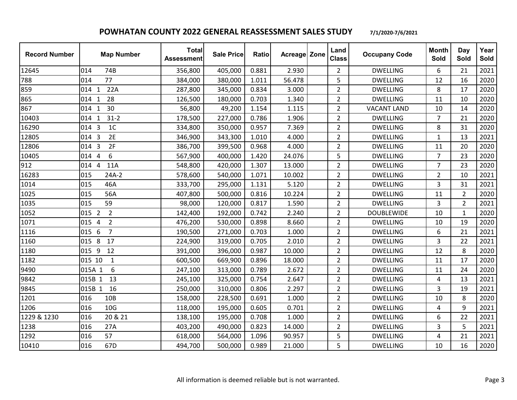| <b>Record Number</b> | <b>Map Number</b>                       | <b>Total</b><br><b>Assessment</b> | <b>Sale Price</b> | <b>Ratio</b> | <b>Acreage Zone</b> | Land<br><b>Class</b> | <b>Occupany Code</b> | <b>Month</b><br>Sold | Day<br>Sold    | Year<br>Sold |
|----------------------|-----------------------------------------|-----------------------------------|-------------------|--------------|---------------------|----------------------|----------------------|----------------------|----------------|--------------|
| 12645                | 014<br>74B                              | 356,800                           | 405,000           | 0.881        | 2.930               | $\overline{2}$       | <b>DWELLING</b>      | 6                    | 21             | 2021         |
| 788                  | 77<br>014                               | 384,000                           | 380,000           | 1.011        | 56.478              | 5                    | <b>DWELLING</b>      | 12                   | 16             | 2020         |
| 859                  | 22A<br>014 1                            | 287,800                           | 345,000           | 0.834        | 3.000               | $\overline{2}$       | <b>DWELLING</b>      | 8                    | 17             | 2020         |
| 865                  | 28<br>014 1                             | 126,500                           | 180,000           | 0.703        | 1.340               | $\overline{2}$       | <b>DWELLING</b>      | 11                   | 10             | 2020         |
| 867                  | 30<br>014 1                             | 56,800                            | 49,200            | 1.154        | 1.115               | $\overline{2}$       | <b>VACANT LAND</b>   | 10                   | 14             | 2020         |
| 10403                | $31 - 2$<br>014 1                       | 178,500                           | 227,000           | 0.786        | 1.906               | $\overline{2}$       | <b>DWELLING</b>      | $\overline{7}$       | 21             | 2020         |
| 16290                | 1 <sup>C</sup><br>014 3                 | 334,800                           | 350,000           | 0.957        | 7.369               | $\overline{2}$       | <b>DWELLING</b>      | 8                    | 31             | 2020         |
| 12805                | 2E<br>014 3                             | 346,900                           | 343,300           | 1.010        | 4.000               | $\overline{2}$       | <b>DWELLING</b>      | $\mathbf{1}$         | 13             | 2021         |
| 12806                | 014 3<br>2F                             | 386,700                           | 399,500           | 0.968        | 4.000               | $\overline{2}$       | <b>DWELLING</b>      | 11                   | 20             | 2020         |
| 10405                | 6<br>$\overline{4}$<br>014              | 567,900                           | 400,000           | 1.420        | 24.076              | 5                    | <b>DWELLING</b>      | $\overline{7}$       | 23             | 2020         |
| 912                  | 014 4<br>11A                            | 548,800                           | 420,000           | 1.307        | 13.000              | $\overline{2}$       | <b>DWELLING</b>      | $\overline{7}$       | 23             | 2020         |
| 16283                | 015<br>$24A-2$                          | 578,600                           | 540,000           | 1.071        | 10.002              | $\overline{2}$       | <b>DWELLING</b>      | $\overline{2}$       | 10             | 2021         |
| 1014                 | 46A<br>015                              | 333,700                           | 295,000           | 1.131        | 5.120               | $\overline{2}$       | <b>DWELLING</b>      | 3                    | 31             | 2021         |
| 1025                 | 015<br>56A                              | 407,800                           | 500,000           | 0.816        | 10.224              | $\overline{2}$       | <b>DWELLING</b>      | 11                   | $\overline{2}$ | 2020         |
| 1035                 | 015<br>59                               | 98,000                            | 120,000           | 0.817        | 1.590               | $\overline{2}$       | <b>DWELLING</b>      | 3                    | $\overline{2}$ | 2021         |
| 1052                 | 015 2<br>$\overline{2}$                 | 142,400                           | 192,000           | 0.742        | 2.240               | $\overline{2}$       | <b>DOUBLEWIDE</b>    | 10                   | $\mathbf{1}$   | 2020         |
| 1071                 | $\overline{2}$<br>015<br>$\overline{4}$ | 476,200                           | 530,000           | 0.898        | 8.660               | $\overline{2}$       | <b>DWELLING</b>      | 10                   | 19             | 2020         |
| 1116                 | 6<br>$\overline{7}$<br>015              | 190,500                           | 271,000           | 0.703        | 1.000               | $\overline{2}$       | <b>DWELLING</b>      | 6                    | 21             | 2021         |
| 1160                 | 17<br>8<br>015                          | 224,900                           | 319,000           | 0.705        | 2.010               | $\overline{2}$       | <b>DWELLING</b>      | 3                    | 22             | 2021         |
| 1180                 | 015 9<br>12                             | 391,000                           | 396,000           | 0.987        | 10.000              | $\overline{2}$       | <b>DWELLING</b>      | 12                   | 8              | 2020         |
| 1182                 | 015 10<br>$\mathbf{1}$                  | 600,500                           | 669,900           | 0.896        | 18.000              | $\overline{2}$       | <b>DWELLING</b>      | 11                   | 17             | 2020         |
| 9490                 | 6<br>015A 1                             | 247,100                           | 313,000           | 0.789        | 2.672               | $\overline{2}$       | <b>DWELLING</b>      | 11                   | 24             | 2020         |
| 9842                 | 015B 1<br>13                            | 245,100                           | 325,000           | 0.754        | 2.647               | $\overline{2}$       | <b>DWELLING</b>      | 4                    | 13             | 2021         |
| 9845                 | 015B 1<br>16                            | 250,000                           | 310,000           | 0.806        | 2.297               | $\overline{2}$       | <b>DWELLING</b>      | 3                    | 19             | 2021         |
| 1201                 | 016<br>10 <sub>B</sub>                  | 158,000                           | 228,500           | 0.691        | 1.000               | $\overline{2}$       | <b>DWELLING</b>      | 10                   | 8              | 2020         |
| 1206                 | 10G<br>016                              | 118,000                           | 195,000           | 0.605        | 0.701               | $\overline{2}$       | <b>DWELLING</b>      | 4                    | 9              | 2021         |
| 1229 & 1230          | 20 & 21<br>016                          | 138,100                           | 195,000           | 0.708        | 1.000               | $\overline{2}$       | <b>DWELLING</b>      | 6                    | 22             | 2021         |
| 1238                 | 016<br>27A                              | 403,200                           | 490,000           | 0.823        | 14.000              | $\overline{2}$       | <b>DWELLING</b>      | 3                    | 5              | 2021         |
| 1292                 | 57<br>016                               | 618,000                           | 564,000           | 1.096        | 90.957              | 5                    | <b>DWELLING</b>      | 4                    | 21             | 2021         |
| 10410                | 016<br>67D                              | 494,700                           | 500,000           | 0.989        | 21.000              | 5                    | <b>DWELLING</b>      | 10                   | 16             | 2020         |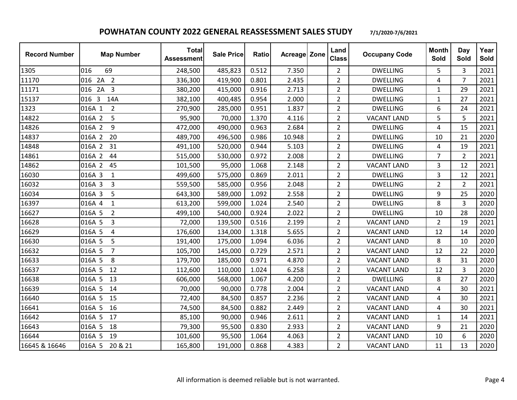| <b>Record Number</b> | <b>Map Number</b>        | <b>Total</b><br><b>Assessment</b> | <b>Sale Price</b> | <b>Ratio</b> | Acreage Zone | Land<br><b>Class</b> | <b>Occupany Code</b> | <b>Month</b><br>Sold | Day<br>Sold    | Year<br>Sold |
|----------------------|--------------------------|-----------------------------------|-------------------|--------------|--------------|----------------------|----------------------|----------------------|----------------|--------------|
| 1305                 | 016<br>69                | 248,500                           | 485,823           | 0.512        | 7.350        | $\overline{2}$       | <b>DWELLING</b>      | 5                    | 3              | 2021         |
| 11170                | 016 2A 2                 | 336,300                           | 419,900           | 0.801        | 2.435        | $\overline{2}$       | <b>DWELLING</b>      | 4                    | $\overline{7}$ | 2021         |
| 11171                | $2A$ 3<br>016            | 380,200                           | 415,000           | 0.916        | 2.713        | $\overline{2}$       | <b>DWELLING</b>      | 1                    | 29             | 2021         |
| 15137                | 016 3<br>14A             | 382,100                           | 400,485           | 0.954        | 2.000        | $\overline{2}$       | <b>DWELLING</b>      | 1                    | 27             | 2021         |
| 1323                 | $\overline{2}$<br>016A 1 | 270,900                           | 285,000           | 0.951        | 1.837        | $\overline{2}$       | <b>DWELLING</b>      | 6                    | 24             | 2021         |
| 14822                | 016A 2<br>5              | 95,900                            | 70,000            | 1.370        | 4.116        | $\overline{2}$       | <b>VACANT LAND</b>   | 5                    | 5              | 2021         |
| 14826                | 9<br>016A 2              | 472,000                           | 490,000           | 0.963        | 2.684        | $\overline{2}$       | <b>DWELLING</b>      | 4                    | 15             | 2021         |
| 14837                | 20<br>016A 2             | 489,700                           | 496,500           | 0.986        | 10.948       | $\overline{2}$       | <b>DWELLING</b>      | 10                   | 21             | 2020         |
| 14848                | 016A 2<br>31             | 491,100                           | 520,000           | 0.944        | 5.103        | $\overline{2}$       | <b>DWELLING</b>      | 4                    | 19             | 2021         |
| 14861                | 016A 2<br>44             | 515,000                           | 530,000           | 0.972        | 2.008        | $\overline{2}$       | <b>DWELLING</b>      | $\overline{7}$       | $\overline{2}$ | 2021         |
| 14862                | 016A 2<br>45             | 101,500                           | 95,000            | 1.068        | 2.148        | $\overline{2}$       | <b>VACANT LAND</b>   | 3                    | 12             | 2021         |
| 16030                | 016A 3<br>$\mathbf{1}$   | 499,600                           | 575,000           | 0.869        | 2.011        | $\overline{2}$       | <b>DWELLING</b>      | 3                    | 12             | 2021         |
| 16032                | 016A 3<br>3              | 559,500                           | 585,000           | 0.956        | 2.048        | $\overline{2}$       | <b>DWELLING</b>      | $\overline{2}$       | $\overline{2}$ | 2021         |
| 16034                | 5<br>016A 3              | 643,300                           | 589,000           | 1.092        | 2.558        | $\overline{2}$       | <b>DWELLING</b>      | 9                    | 25             | 2020         |
| 16397                | 016A 4<br>$\mathbf{1}$   | 613,200                           | 599,000           | 1.024        | 2.540        | $\overline{2}$       | <b>DWELLING</b>      | 8                    | 3              | 2020         |
| 16627                | 016A 5<br>$\overline{2}$ | 499,100                           | 540,000           | 0.924        | 2.022        | $\overline{2}$       | <b>DWELLING</b>      | 10                   | 28             | 2020         |
| 16628                | 016A 5<br>$\overline{3}$ | 72,000                            | 139,500           | 0.516        | 2.199        | $\overline{2}$       | <b>VACANT LAND</b>   | $\overline{2}$       | 19             | 2021         |
| 16629                | 016A 5<br>4              | 176,600                           | 134,000           | 1.318        | 5.655        | $\overline{2}$       | <b>VACANT LAND</b>   | 12                   | 14             | 2020         |
| 16630                | 5<br>016A 5              | 191,400                           | 175,000           | 1.094        | 6.036        | $\overline{2}$       | <b>VACANT LAND</b>   | 8                    | 10             | 2020         |
| 16632                | 016A 5<br>$\overline{7}$ | 105,700                           | 145,000           | 0.729        | 2.571        | $\overline{2}$       | <b>VACANT LAND</b>   | 12                   | 22             | 2020         |
| 16633                | 016A 5<br>8              | 179,700                           | 185,000           | 0.971        | 4.870        | $\overline{2}$       | <b>VACANT LAND</b>   | 8                    | 31             | 2020         |
| 16637                | 016A 5<br>12             | 112,600                           | 110,000           | 1.024        | 6.258        | $\overline{2}$       | <b>VACANT LAND</b>   | 12                   | 3              | 2020         |
| 16638                | 016A 5<br>13             | 606,000                           | 568,000           | 1.067        | 4.200        | $\overline{2}$       | <b>DWELLING</b>      | 8                    | 27             | 2020         |
| 16639                | 016A 5<br>14             | 70,000                            | 90,000            | 0.778        | 2.004        | $\overline{2}$       | <b>VACANT LAND</b>   | 4                    | 30             | 2021         |
| 16640                | 016A 5<br>15             | 72,400                            | 84,500            | 0.857        | 2.236        | $\overline{2}$       | <b>VACANT LAND</b>   | 4                    | 30             | 2021         |
| 16641                | 016A 5<br>16             | 74,500                            | 84,500            | 0.882        | 2.449        | $\overline{2}$       | <b>VACANT LAND</b>   | 4                    | 30             | 2021         |
| 16642                | 016A 5<br>17             | 85,100                            | 90,000            | 0.946        | 2.611        | $\overline{2}$       | <b>VACANT LAND</b>   | 1                    | 14             | 2021         |
| 16643                | 016A 5<br>18             | 79,300                            | 95,500            | 0.830        | 2.933        | $\overline{2}$       | <b>VACANT LAND</b>   | 9                    | 21             | 2020         |
| 16644                | 19<br>016A 5             | 101,600                           | 95,500            | 1.064        | 4.063        | $\overline{2}$       | <b>VACANT LAND</b>   | 10                   | 6              | 2020         |
| 16645 & 16646        | 016A 5 20 & 21           | 165,800                           | 191,000           | 0.868        | 4.383        | $\overline{2}$       | <b>VACANT LAND</b>   | 11                   | 13             | 2020         |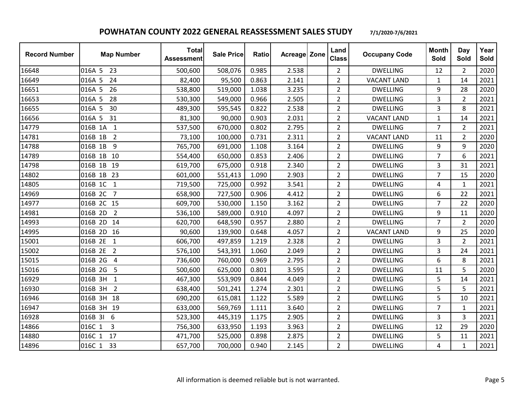| <b>Record Number</b> | <b>Map Number</b>         | <b>Total</b><br><b>Assessment</b> | <b>Sale Price</b> | <b>Ratio</b> | <b>Acreage Zone</b> | Land<br><b>Class</b> | <b>Occupany Code</b> | <b>Month</b><br>Sold | Day<br>Sold    | Year<br>Sold |
|----------------------|---------------------------|-----------------------------------|-------------------|--------------|---------------------|----------------------|----------------------|----------------------|----------------|--------------|
| 16648                | 016A 5 23                 | 500,600                           | 508,076           | 0.985        | 2.538               | $\overline{2}$       | <b>DWELLING</b>      | 12                   | $\overline{2}$ | 2020         |
| 16649                | 016A 5<br>24              | 82,400                            | 95,500            | 0.863        | 2.141               | $\overline{2}$       | <b>VACANT LAND</b>   | $\mathbf{1}$         | 14             | 2021         |
| 16651                | 26<br>016A 5              | 538,800                           | 519,000           | 1.038        | 3.235               | $\overline{2}$       | <b>DWELLING</b>      | 9                    | 28             | 2020         |
| 16653                | 28<br>016A 5              | 530,300                           | 549,000           | 0.966        | 2.505               | $\overline{2}$       | <b>DWELLING</b>      | 3                    | $\overline{2}$ | 2021         |
| 16655                | 30<br>016A 5              | 489,300                           | 595,545           | 0.822        | 2.538               | $\overline{2}$       | <b>DWELLING</b>      | 3                    | 8              | 2021         |
| 16656                | 016A 5<br>31              | 81,300                            | 90,000            | 0.903        | 2.031               | $\overline{2}$       | <b>VACANT LAND</b>   | $\mathbf{1}$         | 14             | 2021         |
| 14779                | 016B 1A<br>$\mathbf{1}$   | 537,500                           | 670,000           | 0.802        | 2.795               | $\overline{2}$       | <b>DWELLING</b>      | $\overline{7}$       | $\overline{2}$ | 2021         |
| 14781                | 016B 1B<br>$\overline{2}$ | 73,100                            | 100,000           | 0.731        | 2.311               | $\overline{2}$       | <b>VACANT LAND</b>   | 11                   | $\overline{2}$ | 2020         |
| 14788                | 016B 1B<br>9              | 765,700                           | 691,000           | 1.108        | 3.164               | $\overline{2}$       | <b>DWELLING</b>      | 9                    | 9              | 2020         |
| 14789                | 016B 1B 10                | 554,400                           | 650,000           | 0.853        | 2.406               | $\overline{2}$       | <b>DWELLING</b>      | $\overline{7}$       | 6              | 2021         |
| 14798                | 016B 1B 19                | 619,700                           | 675,000           | 0.918        | 2.340               | $\overline{2}$       | <b>DWELLING</b>      | 3                    | 31             | 2021         |
| 14802                | 016B 1B 23                | 601,000                           | 551,413           | 1.090        | 2.903               | $\overline{2}$       | <b>DWELLING</b>      | $\overline{7}$       | 15             | 2020         |
| 14805                | 016B 1C<br>$\mathbf{1}$   | 719,500                           | 725,000           | 0.992        | 3.541               | $\overline{2}$       | <b>DWELLING</b>      | 4                    | $\mathbf{1}$   | 2021         |
| 14969                | $\overline{7}$<br>016B 2C | 658,900                           | 727,500           | 0.906        | 4.412               | $\overline{2}$       | <b>DWELLING</b>      | 6                    | 22             | 2021         |
| 14977                | 016B 2C 15                | 609,700                           | 530,000           | 1.150        | 3.162               | $\overline{2}$       | <b>DWELLING</b>      | $\overline{7}$       | 22             | 2020         |
| 14981                | 016B 2D<br>$\overline{2}$ | 536,100                           | 589,000           | 0.910        | 4.097               | $\overline{2}$       | <b>DWELLING</b>      | 9                    | 11             | 2020         |
| 14993                | 016B 2D 14                | 620,700                           | 648,590           | 0.957        | 2.880               | $\overline{2}$       | <b>DWELLING</b>      | $\overline{7}$       | $\overline{2}$ | 2020         |
| 14995                | 016B 2D 16                | 90,600                            | 139,900           | 0.648        | 4.057               | $\overline{2}$       | <b>VACANT LAND</b>   | 9                    | 25             | 2020         |
| 15001                | 016B 2E 1                 | 606,700                           | 497,859           | 1.219        | 2.328               | $\overline{2}$       | <b>DWELLING</b>      | 3                    | $\overline{2}$ | 2021         |
| 15002                | 016B 2E 2                 | 576,100                           | 543,391           | 1.060        | 2.049               | $\overline{2}$       | <b>DWELLING</b>      | 3                    | 24             | 2021         |
| 15015                | 016B 2G<br>4              | 736,600                           | 760,000           | 0.969        | 2.795               | $\overline{2}$       | <b>DWELLING</b>      | 6                    | 8              | 2021         |
| 15016                | 5<br>016B 2G              | 500,600                           | 625,000           | 0.801        | 3.595               | $\overline{2}$       | <b>DWELLING</b>      | 11                   | 5              | 2020         |
| 16929                | 016B 3H<br>$\overline{1}$ | 467,300                           | 553,909           | 0.844        | 4.049               | $\overline{2}$       | <b>DWELLING</b>      | 5                    | 14             | 2021         |
| 16930                | 016B 3H<br>$\overline{2}$ | 638,400                           | 501,241           | 1.274        | 2.301               | $\overline{2}$       | <b>DWELLING</b>      | 5                    | 5              | 2021         |
| 16946                | 016B 3H 18                | 690,200                           | 615,081           | 1.122        | 5.589               | $\overline{2}$       | <b>DWELLING</b>      | 5                    | 10             | 2021         |
| 16947                | 016B 3H 19                | 633,000                           | 569,769           | 1.111        | 3.640               | $\overline{2}$       | <b>DWELLING</b>      | $\overline{7}$       | 1              | 2021         |
| 16928                | 016B 3I<br>6              | 523,300                           | 445,319           | 1.175        | 2.905               | $\overline{2}$       | <b>DWELLING</b>      | 3                    | 3              | 2021         |
| 14866                | 016C 1<br>3               | 756,300                           | 633,950           | 1.193        | 3.963               | $\overline{2}$       | <b>DWELLING</b>      | 12                   | 29             | 2020         |
| 14880                | 016C 1<br>17              | 471,700                           | 525,000           | 0.898        | 2.875               | $\overline{2}$       | <b>DWELLING</b>      | 5                    | 11             | 2021         |
| 14896                | 016C 1 33                 | 657,700                           | 700,000           | 0.940        | 2.145               | $\overline{2}$       | <b>DWELLING</b>      | 4                    | $\mathbf{1}$   | 2021         |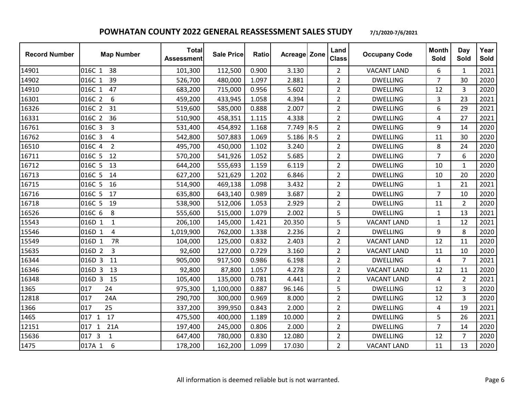| <b>Record Number</b> | <b>Map Number</b>                     | <b>Total</b><br><b>Assessment</b> | <b>Sale Price</b> | <b>Ratio</b> | Acreage Zone |       | Land<br><b>Class</b> | <b>Occupany Code</b> | <b>Month</b><br>Sold | Day<br>Sold    | Year<br>Sold |
|----------------------|---------------------------------------|-----------------------------------|-------------------|--------------|--------------|-------|----------------------|----------------------|----------------------|----------------|--------------|
| 14901                | 016C 1<br>38                          | 101,300                           | 112,500           | 0.900        | 3.130        |       | $\overline{2}$       | <b>VACANT LAND</b>   | 6                    | 1              | 2021         |
| 14902                | 39<br>016C 1                          | 526,700                           | 480,000           | 1.097        | 2.881        |       | $\overline{2}$       | <b>DWELLING</b>      | $\overline{7}$       | 30             | 2020         |
| 14910                | 016C 1<br>47                          | 683,200                           | 715,000           | 0.956        | 5.602        |       | $\overline{2}$       | <b>DWELLING</b>      | 12                   | $\overline{3}$ | 2020         |
| 16301                | 016C 2<br>6                           | 459,200                           | 433,945           | 1.058        | 4.394        |       | $\overline{2}$       | <b>DWELLING</b>      | 3                    | 23             | 2021         |
| 16326                | 016C 2<br>31                          | 519,600                           | 585,000           | 0.888        | 2.007        |       | $\overline{2}$       | <b>DWELLING</b>      | 6                    | 29             | 2021         |
| 16331                | 016C 2<br>36                          | 510,900                           | 458,351           | 1.115        | 4.338        |       | $\overline{2}$       | <b>DWELLING</b>      | 4                    | 27             | 2021         |
| 16761                | $\overline{3}$<br>016C 3              | 531,400                           | 454,892           | 1.168        | 7.749        | $R-5$ | $\overline{2}$       | <b>DWELLING</b>      | 9                    | 14             | 2020         |
| 16762                | 016C 3<br>4                           | 542,800                           | 507,883           | 1.069        | 5.186        | $R-5$ | $\overline{2}$       | <b>DWELLING</b>      | 11                   | 30             | 2020         |
| 16510                | 016C 4<br>$\overline{2}$              | 495,700                           | 450,000           | 1.102        | 3.240        |       | $\overline{2}$       | <b>DWELLING</b>      | 8                    | 24             | 2020         |
| 16711                | 016C 5<br>12                          | 570,200                           | 541,926           | 1.052        | 5.685        |       | $\overline{2}$       | <b>DWELLING</b>      | $\overline{7}$       | 6              | 2020         |
| 16712                | 016C 5<br>13                          | 644,200                           | 555,693           | 1.159        | 6.119        |       | $\overline{2}$       | <b>DWELLING</b>      | 10                   | $\mathbf{1}$   | 2020         |
| 16713                | 016C 5<br>14                          | 627,200                           | 521,629           | 1.202        | 6.846        |       | $\overline{2}$       | <b>DWELLING</b>      | 10                   | 20             | 2020         |
| 16715                | 016C 5<br>16                          | 514,900                           | 469,138           | 1.098        | 3.432        |       | $\overline{2}$       | <b>DWELLING</b>      | 1                    | 21             | 2021         |
| 16716                | 016C 5<br>17                          | 635,800                           | 643,140           | 0.989        | 3.687        |       | $\overline{2}$       | <b>DWELLING</b>      | $\overline{7}$       | 10             | 2020         |
| 16718                | 19<br>016C 5                          | 538,900                           | 512,006           | 1.053        | 2.929        |       | $\overline{2}$       | <b>DWELLING</b>      | 11                   | $\overline{2}$ | 2020         |
| 16526                | 016C 6<br>8                           | 555,600                           | 515,000           | 1.079        | 2.002        |       | 5                    | <b>DWELLING</b>      | $\mathbf{1}$         | 13             | 2021         |
| 15543                | 016D 1<br>$\mathbf{1}$                | 206,100                           | 145,000           | 1.421        | 20.350       |       | 5                    | <b>VACANT LAND</b>   | $\mathbf{1}$         | 12             | 2021         |
| 15546                | 016D 1<br>$\overline{4}$              | 1,019,900                         | 762,000           | 1.338        | 2.236        |       | $\overline{2}$       | <b>DWELLING</b>      | 9                    | 8              | 2020         |
| 15549                | 7R<br>016D 1                          | 104,000                           | 125,000           | 0.832        | 2.403        |       | $\overline{2}$       | <b>VACANT LAND</b>   | 12                   | 11             | 2020         |
| 15635                | 016D 2<br>3                           | 92,600                            | 127,000           | 0.729        | 3.160        |       | $\overline{2}$       | <b>VACANT LAND</b>   | 11                   | 10             | 2020         |
| 16344                | 016D 3<br>11                          | 905,000                           | 917,500           | 0.986        | 6.198        |       | $\overline{2}$       | <b>DWELLING</b>      | 4                    | $\overline{7}$ | 2021         |
| 16346                | 016D 3<br>13                          | 92,800                            | 87,800            | 1.057        | 4.278        |       | $\overline{2}$       | <b>VACANT LAND</b>   | 12                   | 11             | 2020         |
| 16348                | 016D 3 15                             | 105,400                           | 135,000           | 0.781        | 4.441        |       | $\overline{2}$       | <b>VACANT LAND</b>   | 4                    | $\overline{2}$ | 2021         |
| 1365                 | 24<br>017                             | 975,300                           | 1,100,000         | 0.887        | 96.146       |       | 5                    | <b>DWELLING</b>      | 12                   | 3              | 2020         |
| 12818                | 017<br>24A                            | 290,700                           | 300,000           | 0.969        | 8.000        |       | $\overline{2}$       | <b>DWELLING</b>      | 12                   | 3              | 2020         |
| 1366                 | 25<br>017                             | 337,200                           | 399,950           | 0.843        | 2.000        |       | $\overline{2}$       | <b>DWELLING</b>      | 4                    | 19             | 2021         |
| 1465                 | 017 1<br>17                           | 475,500                           | 400,000           | 1.189        | 10.000       |       | $\overline{2}$       | <b>DWELLING</b>      | 5                    | 26             | 2021         |
| 12151                | 21A<br>017<br>$\mathbf{1}$            | 197,400                           | 245,000           | 0.806        | 2.000        |       | $\overline{2}$       | <b>DWELLING</b>      | $\overline{7}$       | 14             | 2020         |
| 15636                | $\overline{3}$<br>$\mathbf{1}$<br>017 | 647,400                           | 780,000           | 0.830        | 12.080       |       | $\overline{2}$       | <b>DWELLING</b>      | 12                   | $\overline{7}$ | 2020         |
| 1475                 | 6<br>017A 1                           | 178,200                           | 162,200           | 1.099        | 17.030       |       | $\overline{2}$       | <b>VACANT LAND</b>   | 11                   | 13             | 2020         |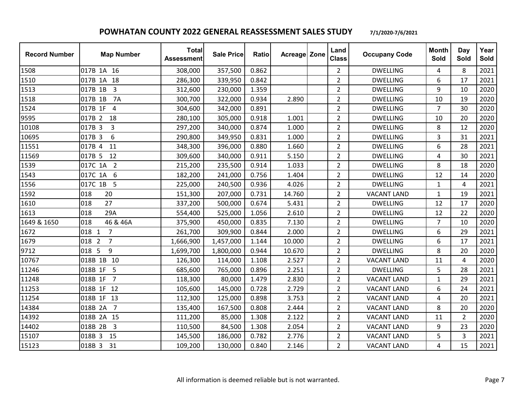| <b>Record Number</b> | <b>Map Number</b>         | <b>Total</b><br><b>Assessment</b> | <b>Sale Price</b> | Ratio | Acreage Zone | Land<br><b>Class</b> | <b>Occupany Code</b> | <b>Month</b><br>Sold | Day<br>Sold    | Year<br>Sold |
|----------------------|---------------------------|-----------------------------------|-------------------|-------|--------------|----------------------|----------------------|----------------------|----------------|--------------|
| 1508                 | 017B 1A 16                | 308,000                           | 357,500           | 0.862 |              | $\overline{2}$       | <b>DWELLING</b>      | 4                    | 8              | 2021         |
| 1510                 | 017B 1A 18                | 286,300                           | 339,950           | 0.842 |              | $\overline{2}$       | <b>DWELLING</b>      | 6                    | 17             | 2021         |
| 1513                 | 3<br>017B 1B              | 312,600                           | 230,000           | 1.359 |              | $\overline{2}$       | <b>DWELLING</b>      | 9                    | 10             | 2020         |
| 1518                 | <b>7A</b><br>017B 1B      | 300,700                           | 322,000           | 0.934 | 2.890        | $\overline{2}$       | <b>DWELLING</b>      | 10                   | 19             | 2020         |
| 1524                 | 017B 1F<br>4              | 304,600                           | 342,000           | 0.891 |              | $\overline{2}$       | <b>DWELLING</b>      | $\overline{7}$       | 30             | 2020         |
| 9595                 | 017B 2<br>18              | 280,100                           | 305,000           | 0.918 | 1.001        | $\overline{2}$       | <b>DWELLING</b>      | 10                   | 20             | 2020         |
| 10108                | 3<br>017B 3               | 297,200                           | 340,000           | 0.874 | 1.000        | $\overline{2}$       | <b>DWELLING</b>      | 8                    | 12             | 2020         |
| 10695                | 017B 3<br>6               | 290,800                           | 349,950           | 0.831 | 1.000        | $\overline{2}$       | <b>DWELLING</b>      | 3                    | 31             | 2021         |
| 11551                | 017B 4<br>11              | 348,300                           | 396,000           | 0.880 | 1.660        | $\overline{2}$       | <b>DWELLING</b>      | 6                    | 28             | 2021         |
| 11569                | 017B 5<br>12              | 309,600                           | 340,000           | 0.911 | 5.150        | $\overline{2}$       | <b>DWELLING</b>      | 4                    | 30             | 2021         |
| 1539                 | 017C 1A 2                 | 215,200                           | 235,500           | 0.914 | 1.033        | $\overline{2}$       | <b>DWELLING</b>      | 8                    | 18             | 2020         |
| 1543                 | 6<br>017C 1A              | 182,200                           | 241,000           | 0.756 | 1.404        | $\overline{2}$       | <b>DWELLING</b>      | 12                   | 14             | 2020         |
| 1556                 | 017C 1B 5                 | 225,000                           | 240,500           | 0.936 | 4.026        | $\overline{2}$       | <b>DWELLING</b>      | $\mathbf{1}$         | $\overline{4}$ | 2021         |
| 1592                 | 018<br>20                 | 151,300                           | 207,000           | 0.731 | 14.760       | $\overline{2}$       | <b>VACANT LAND</b>   | $\mathbf{1}$         | 19             | 2021         |
| 1610                 | 27<br>018                 | 337,200                           | 500,000           | 0.674 | 5.431        | $\overline{2}$       | <b>DWELLING</b>      | 12                   | 17             | 2020         |
| 1613                 | 018<br>29A                | 554,400                           | 525,000           | 1.056 | 2.610        | $\overline{2}$       | <b>DWELLING</b>      | 12                   | 22             | 2020         |
| 1649 & 1650          | 018<br>46 & 46A           | 375,900                           | 450,000           | 0.835 | 7.130        | $\overline{2}$       | <b>DWELLING</b>      | $\overline{7}$       | 10             | 2020         |
| 1672                 | $\overline{7}$<br>018 1   | 261,700                           | 309,900           | 0.844 | 2.000        | $\overline{2}$       | <b>DWELLING</b>      | 6                    | 29             | 2021         |
| 1679                 | $\overline{7}$<br>018 2   | 1,666,900                         | 1,457,000         | 1.144 | 10.000       | $\overline{2}$       | <b>DWELLING</b>      | 6                    | 17             | 2021         |
| 9712                 | 018 5<br>9                | 1,699,700                         | 1,800,000         | 0.944 | 10.670       | $\overline{2}$       | <b>DWELLING</b>      | 8                    | 20             | 2020         |
| 10767                | 018B 1B 10                | 126,300                           | 114,000           | 1.108 | 2.527        | $\overline{2}$       | <b>VACANT LAND</b>   | 11                   | 4              | 2020         |
| 11246                | 018B 1F<br>5              | 685,600                           | 765,000           | 0.896 | 2.251        | $\overline{2}$       | <b>DWELLING</b>      | 5                    | 28             | 2021         |
| 11248                | 018B 1F 7                 | 118,300                           | 80,000            | 1.479 | 2.830        | $\overline{2}$       | <b>VACANT LAND</b>   | $\mathbf{1}$         | 29             | 2021         |
| 11253                | 018B 1F 12                | 105,600                           | 145,000           | 0.728 | 2.729        | $\overline{2}$       | <b>VACANT LAND</b>   | 6                    | 24             | 2021         |
| 11254                | 018B 1F 13                | 112,300                           | 125,000           | 0.898 | 3.753        | $\overline{2}$       | <b>VACANT LAND</b>   | 4                    | 20             | 2021         |
| 14384                | 018B 2A<br>$\overline{7}$ | 135,400                           | 167,500           | 0.808 | 2.444        | $\overline{2}$       | <b>VACANT LAND</b>   | 8                    | 20             | 2020         |
| 14392                | 018B 2A 15                | 111,200                           | 85,000            | 1.308 | 2.122        | $\overline{2}$       | <b>VACANT LAND</b>   | 11                   | $\overline{2}$ | 2020         |
| 14402                | 018B 2B<br>$\overline{3}$ | 110,500                           | 84,500            | 1.308 | 2.054        | $\overline{2}$       | <b>VACANT LAND</b>   | 9                    | 23             | 2020         |
| 15107                | 018B 3<br>15              | 145,500                           | 186,000           | 0.782 | 2.776        | $\overline{2}$       | <b>VACANT LAND</b>   | 5                    | 3              | 2021         |
| 15123                | 018B 3<br>31              | 109,200                           | 130,000           | 0.840 | 2.146        | $\overline{2}$       | <b>VACANT LAND</b>   | 4                    | 15             | 2021         |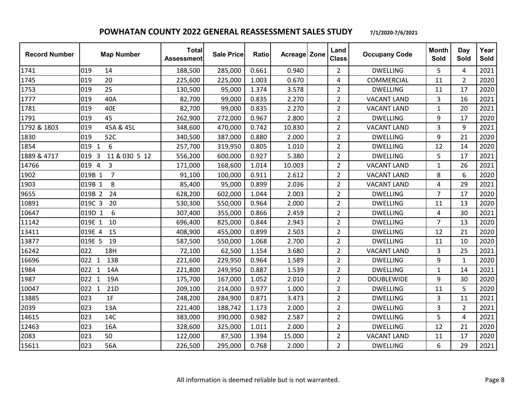| <b>Record Number</b> | <b>Map Number</b>        | <b>Total</b><br><b>Assessment</b> | <b>Sale Price</b> | <b>Ratio</b> | Acreage Zone | Land<br><b>Class</b> | <b>Occupany Code</b> | <b>Month</b><br>Sold | Day<br>Sold    | Year<br>Sold |
|----------------------|--------------------------|-----------------------------------|-------------------|--------------|--------------|----------------------|----------------------|----------------------|----------------|--------------|
| 1741                 | 019<br>14                | 188,500                           | 285,000           | 0.661        | 0.940        | $\overline{2}$       | <b>DWELLING</b>      | 5                    | 4              | 2021         |
| 1745                 | 019<br>20                | 225,600                           | 225,000           | 1.003        | 0.670        | 4                    | COMMERCIAL           | 11                   | 2              | 2020         |
| 1753                 | 25<br>019                | 130,500                           | 95,000            | 1.374        | 3.578        | $\overline{2}$       | <b>DWELLING</b>      | 11                   | 17             | 2020         |
| 1777                 | 40A<br>019               | 82,700                            | 99,000            | 0.835        | 2.270        | $\overline{2}$       | <b>VACANT LAND</b>   | 3                    | 16             | 2021         |
| 1781                 | 40E<br>019               | 82,700                            | 99,000            | 0.835        | 2.270        | $\overline{2}$       | <b>VACANT LAND</b>   | $\mathbf{1}$         | 20             | 2021         |
| 1791                 | 45<br>019                | 262,900                           | 272,000           | 0.967        | 2.800        | $\overline{2}$       | <b>DWELLING</b>      | 9                    | 17             | 2020         |
| 1792 & 1803          | 45A & 45L<br>019         | 348,600                           | 470,000           | 0.742        | 10.830       | $\overline{2}$       | <b>VACANT LAND</b>   | 3                    | 9              | 2021         |
| 1830                 | 52C<br>019               | 340,500                           | 387,000           | 0.880        | 2.000        | $\overline{2}$       | <b>DWELLING</b>      | 9                    | 21             | 2020         |
| 1854                 | 019 1<br>6               | 257,700                           | 319,950           | 0.805        | 1.010        | $\overline{2}$       | <b>DWELLING</b>      | 12                   | 14             | 2020         |
| 1889 & 4717          | 11 & 030 5 12<br>019 3   | 556,200                           | 600,000           | 0.927        | 5.380        | $\overline{2}$       | <b>DWELLING</b>      | 5                    | 17             | 2021         |
| 14766                | 3<br>019 4               | 171,000                           | 168,600           | 1.014        | 10.003       | $\overline{2}$       | <b>VACANT LAND</b>   | $\mathbf{1}$         | 26             | 2021         |
| 1902                 | $\overline{7}$<br>019B 1 | 91,100                            | 100,000           | 0.911        | 2.612        | $\overline{2}$       | <b>VACANT LAND</b>   | 8                    | 6              | 2020         |
| 1903                 | 019B 1<br>8              | 85,400                            | 95,000            | 0.899        | 2.036        | $\overline{2}$       | <b>VACANT LAND</b>   | 4                    | 29             | 2021         |
| 9655                 | 019B 2<br>24             | 628,200                           | 602,000           | 1.044        | 2.003        | $\overline{2}$       | <b>DWELLING</b>      | $\overline{7}$       | 17             | 2020         |
| 10891                | 20<br>019C 3             | 530,300                           | 550,000           | 0.964        | 2.000        | $\overline{2}$       | <b>DWELLING</b>      | 11                   | 13             | 2020         |
| 10647                | 6<br>019D 1              | 307,400                           | 355,000           | 0.866        | 2.459        | $\overline{2}$       | <b>DWELLING</b>      | $\overline{4}$       | 30             | 2021         |
| 11142                | 019E 1<br>10             | 696,400                           | 825,000           | 0.844        | 2.943        | $\overline{2}$       | <b>DWELLING</b>      | $\overline{7}$       | 13             | 2020         |
| 13411                | 019E 4<br>15             | 408,900                           | 455,000           | 0.899        | 2.503        | $\overline{2}$       | <b>DWELLING</b>      | 12                   | 21             | 2020         |
| 13877                | 19<br>019E 5             | 587,500                           | 550,000           | 1.068        | 2.700        | $\overline{2}$       | <b>DWELLING</b>      | 11                   | 10             | 2020         |
| 16242                | 022<br>18H               | 72,100                            | 62,500            | 1.154        | 3.680        | $\overline{2}$       | <b>VACANT LAND</b>   | 3                    | 25             | 2021         |
| 16696                | 13B<br>022 1             | 221,600                           | 229,950           | 0.964        | 1.589        | $\overline{2}$       | <b>DWELLING</b>      | 9                    | $\mathbf{1}$   | 2020         |
| 1984                 | 14A<br>022 1             | 221,800                           | 249,950           | 0.887        | 1.539        | $\overline{2}$       | <b>DWELLING</b>      | $\mathbf{1}$         | 14             | 2021         |
| 1987                 | 022 1<br>19A             | 175,700                           | 167,000           | 1.052        | 2.010        | $\overline{2}$       | <b>DOUBLEWIDE</b>    | 9                    | 30             | 2020         |
| 10047                | 21D<br>022 1             | 209,100                           | 214,000           | 0.977        | 1.000        | $\overline{2}$       | <b>DWELLING</b>      | 11                   | 5              | 2020         |
| 13885                | 023<br>1F                | 248,200                           | 284,900           | 0.871        | 3.473        | $\overline{2}$       | <b>DWELLING</b>      | 3                    | 11             | 2021         |
| 2039                 | 023<br>13A               | 221,400                           | 188,742           | 1.173        | 2.000        | $\overline{2}$       | <b>DWELLING</b>      | 3                    | $\overline{2}$ | 2021         |
| 14615                | 023<br>14C               | 383,000                           | 390,000           | 0.982        | 2.587        | $\overline{2}$       | <b>DWELLING</b>      | 5                    | 4              | 2021         |
| 12463                | 023<br>16A               | 328,600                           | 325,000           | 1.011        | 2.000        | $\overline{2}$       | <b>DWELLING</b>      | 12                   | 21             | 2020         |
| 2083                 | 50<br>023                | 122,000                           | 87,500            | 1.394        | 15.000       | $\overline{2}$       | <b>VACANT LAND</b>   | 11                   | 17             | 2020         |
| 15611                | 023<br>56A               | 226,500                           | 295,000           | 0.768        | 2.000        | $\overline{2}$       | <b>DWELLING</b>      | 6                    | 29             | 2021         |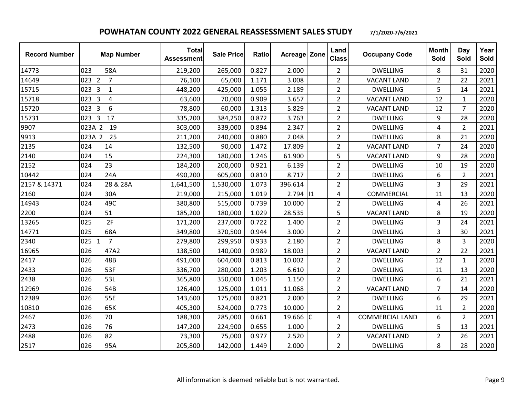| <b>Record Number</b> | <b>Map Number</b>                       | <b>Total</b><br><b>Assessment</b> | <b>Sale Price</b> | Ratio | Acreage Zone | Land<br><b>Class</b> | <b>Occupany Code</b>   | <b>Month</b><br>Sold | Day<br>Sold    | Year<br>Sold |
|----------------------|-----------------------------------------|-----------------------------------|-------------------|-------|--------------|----------------------|------------------------|----------------------|----------------|--------------|
| 14773                | 023<br>58A                              | 219,200                           | 265,000           | 0.827 | 2.000        | $\overline{2}$       | <b>DWELLING</b>        | 8                    | 31             | 2020         |
| 14649                | 023 2<br>$\overline{7}$                 | 76,100                            | 65,000            | 1.171 | 3.008        | $\overline{2}$       | <b>VACANT LAND</b>     | $\overline{2}$       | 22             | 2021         |
| 15715                | 023 3<br>$\mathbf{1}$                   | 448,200                           | 425,000           | 1.055 | 2.189        | $\overline{2}$       | <b>DWELLING</b>        | 5                    | 14             | 2021         |
| 15718                | $\overline{3}$<br>$\overline{4}$<br>023 | 63,600                            | 70,000            | 0.909 | 3.657        | $\overline{2}$       | <b>VACANT LAND</b>     | 12                   | $\mathbf{1}$   | 2020         |
| 15720                | 6<br>023 3                              | 78,800                            | 60,000            | 1.313 | 5.829        | $\overline{2}$       | <b>VACANT LAND</b>     | 12                   | $\overline{7}$ | 2020         |
| 15731                | 023 3<br>17                             | 335,200                           | 384,250           | 0.872 | 3.763        | $\overline{2}$       | <b>DWELLING</b>        | 9                    | 28             | 2020         |
| 9907                 | 023A 2<br>19                            | 303,000                           | 339,000           | 0.894 | 2.347        | $\overline{2}$       | <b>DWELLING</b>        | $\overline{4}$       | $\overline{2}$ | 2021         |
| 9913                 | 25<br>023A 2                            | 211,200                           | 240,000           | 0.880 | 2.048        | $\overline{2}$       | <b>DWELLING</b>        | 8                    | 21             | 2020         |
| 2135                 | 024<br>14                               | 132,500                           | 90,000            | 1.472 | 17.809       | $\overline{2}$       | <b>VACANT LAND</b>     | $\overline{7}$       | 24             | 2020         |
| 2140                 | 15<br>024                               | 224,300                           | 180,000           | 1.246 | 61.900       | 5                    | <b>VACANT LAND</b>     | 9                    | 28             | 2020         |
| 2152                 | 23<br>024                               | 184,200                           | 200,000           | 0.921 | 6.139        | $\overline{2}$       | <b>DWELLING</b>        | 10                   | 19             | 2020         |
| 10442                | 024<br>24A                              | 490,200                           | 605,000           | 0.810 | 8.717        | $\overline{2}$       | <b>DWELLING</b>        | 6                    | $\overline{2}$ | 2021         |
| 2157 & 14371         | 28 & 28A<br>024                         | 1,641,500                         | 1,530,000         | 1.073 | 396.614      | $\overline{2}$       | <b>DWELLING</b>        | 3                    | 29             | 2021         |
| 2160                 | 024<br>30A                              | 219,000                           | 215,000           | 1.019 | $2.794$  11  | 4                    | COMMERCIAL             | 11                   | 13             | 2020         |
| 14943                | 49C<br>024                              | 380,800                           | 515,000           | 0.739 | 10.000       | $\overline{2}$       | <b>DWELLING</b>        | 4                    | 26             | 2021         |
| 2200                 | 51<br>024                               | 185,200                           | 180,000           | 1.029 | 28.535       | 5                    | <b>VACANT LAND</b>     | 8                    | 19             | 2020         |
| 13265                | 2F<br>025                               | 171,200                           | 237,000           | 0.722 | 1.400        | $\overline{2}$       | <b>DWELLING</b>        | 3                    | 24             | 2021         |
| 14771                | 025<br>68A                              | 349,800                           | 370,500           | 0.944 | 3.000        | $\overline{2}$       | <b>DWELLING</b>        | 3                    | 30             | 2021         |
| 2340                 | $\overline{7}$<br>025 1                 | 279,800                           | 299,950           | 0.933 | 2.180        | $\overline{2}$       | <b>DWELLING</b>        | 8                    | 3              | 2020         |
| 16965                | 026<br>47A2                             | 138,500                           | 140,000           | 0.989 | 18.003       | $\overline{2}$       | <b>VACANT LAND</b>     | $\overline{2}$       | 22             | 2021         |
| 2417                 | 026<br>48B                              | 491,000                           | 604,000           | 0.813 | 10.002       | $\overline{2}$       | <b>DWELLING</b>        | 12                   | $\mathbf{1}$   | 2020         |
| 2433                 | 53F<br>026                              | 336,700                           | 280,000           | 1.203 | 6.610        | $\overline{2}$       | <b>DWELLING</b>        | 11                   | 13             | 2020         |
| 2438                 | 026<br>53L                              | 365,800                           | 350,000           | 1.045 | 1.150        | $\overline{2}$       | <b>DWELLING</b>        | 6                    | 21             | 2021         |
| 12969                | 54B<br>026                              | 126,400                           | 125,000           | 1.011 | 11.068       | $\overline{2}$       | <b>VACANT LAND</b>     | $\overline{7}$       | 14             | 2020         |
| 12389                | 026<br>55E                              | 143,600                           | 175,000           | 0.821 | 2.000        | $\overline{2}$       | <b>DWELLING</b>        | 6                    | 29             | 2021         |
| 10810                | 65K<br>026                              | 405,300                           | 524,000           | 0.773 | 10.000       | $\overline{2}$       | <b>DWELLING</b>        | 11                   | $\overline{2}$ | 2020         |
| 2467                 | 026<br>70                               | 188,300                           | 285,000           | 0.661 | 19.666 C     | 4                    | <b>COMMERCIAL LAND</b> | 6                    | $\overline{2}$ | 2021         |
| 2473                 | 76<br>026                               | 147,200                           | 224,900           | 0.655 | 1.000        | $\overline{2}$       | <b>DWELLING</b>        | 5                    | 13             | 2021         |
| 2488                 | 82<br>026                               | 73,300                            | 75,000            | 0.977 | 2.520        | $\overline{2}$       | <b>VACANT LAND</b>     | $\overline{2}$       | 26             | 2021         |
| 2517                 | 026<br>95A                              | 205,800                           | 142,000           | 1.449 | 2.000        | $\overline{2}$       | <b>DWELLING</b>        | 8                    | 28             | 2020         |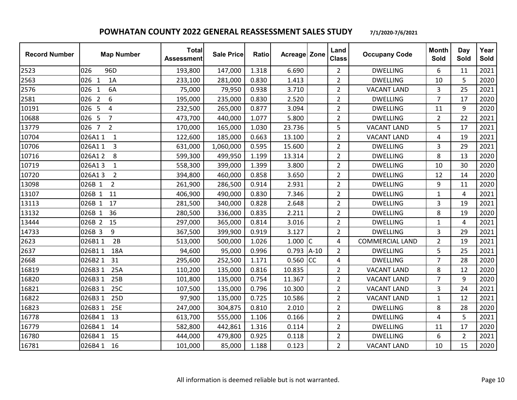| <b>Record Number</b> | <b>Map Number</b>           | <b>Total</b><br><b>Assessment</b> | <b>Sale Price</b> | Ratio | <b>Acreage Zone</b> |           | Land<br><b>Class</b> | <b>Occupany Code</b>   | <b>Month</b><br>Sold    | Day<br>Sold    | Year<br>Sold |
|----------------------|-----------------------------|-----------------------------------|-------------------|-------|---------------------|-----------|----------------------|------------------------|-------------------------|----------------|--------------|
| 2523                 | 026<br>96D                  | 193,800                           | 147,000           | 1.318 | 6.690               |           | $\overline{2}$       | <b>DWELLING</b>        | 6                       | 11             | 2021         |
| 2563                 | 026 1<br>1A                 | 233,100                           | 281,000           | 0.830 | 1.413               |           | $\overline{2}$       | <b>DWELLING</b>        | 10                      | 5              | 2020         |
| 2576                 | 6A<br>026<br>$\overline{1}$ | 75,000                            | 79,950            | 0.938 | 3.710               |           | $\overline{2}$       | <b>VACANT LAND</b>     | 3                       | 25             | 2021         |
| 2581                 | 026 2<br>6                  | 195,000                           | 235,000           | 0.830 | 2.520               |           | $\overline{2}$       | <b>DWELLING</b>        | $\overline{7}$          | 17             | 2020         |
| 10191                | 026 5<br>4                  | 232,500                           | 265,000           | 0.877 | 3.094               |           | $\overline{2}$       | <b>DWELLING</b>        | 11                      | 9              | 2020         |
| 10688                | 026 5<br>$\overline{7}$     | 473,700                           | 440,000           | 1.077 | 5.800               |           | $\overline{2}$       | <b>DWELLING</b>        | $\overline{2}$          | 22             | 2021         |
| 13779                | 026 7<br>$\overline{2}$     | 170,000                           | 165,000           | 1.030 | 23.736              |           | 5                    | <b>VACANT LAND</b>     | 5                       | 17             | 2021         |
| 10704                | 026A11<br>$\mathbf{1}$      | 122,600                           | 185,000           | 0.663 | 13.100              |           | $\overline{2}$       | <b>VACANT LAND</b>     | $\overline{\mathbf{4}}$ | 19             | 2021         |
| 10706                | 026A11<br>3                 | 631,000                           | 1,060,000         | 0.595 | 15.600              |           | $\overline{2}$       | <b>DWELLING</b>        | 3                       | 29             | 2021         |
| 10716                | 026A12<br>8                 | 599,300                           | 499,950           | 1.199 | 13.314              |           | $\overline{2}$       | <b>DWELLING</b>        | 8                       | 13             | 2020         |
| 10719                | 026A13<br>$\mathbf{1}$      | 558,300                           | 399,000           | 1.399 | 3.800               |           | $\overline{2}$       | <b>DWELLING</b>        | 10                      | 30             | 2020         |
| 10720                | $\overline{2}$<br>026A13    | 394,800                           | 460,000           | 0.858 | 3.650               |           | $\overline{2}$       | <b>DWELLING</b>        | 12                      | 14             | 2020         |
| 13098                | 026B 1<br>$\overline{2}$    | 261,900                           | 286,500           | 0.914 | 2.931               |           | $\overline{2}$       | <b>DWELLING</b>        | 9                       | 11             | 2020         |
| 13107                | 11<br>026B 1                | 406,900                           | 490,000           | 0.830 | 7.346               |           | $\overline{2}$       | <b>DWELLING</b>        | $\mathbf{1}$            | 4              | 2021         |
| 13113                | 026B 1<br>17                | 281,500                           | 340,000           | 0.828 | 2.648               |           | $\overline{2}$       | <b>DWELLING</b>        | 3                       | 19             | 2021         |
| 13132                | 026B 1<br>36                | 280,500                           | 336,000           | 0.835 | 2.211               |           | $\overline{2}$       | <b>DWELLING</b>        | 8                       | 19             | 2020         |
| 13444                | 026B 2<br>15                | 297,000                           | 365,000           | 0.814 | 3.016               |           | $\overline{2}$       | <b>DWELLING</b>        | 1                       | 4              | 2021         |
| 14733                | 9<br>026B 3                 | 367,500                           | 399,900           | 0.919 | 3.127               |           | $\overline{2}$       | <b>DWELLING</b>        | 3                       | 29             | 2021         |
| 2623                 | 2B<br>026B11                | 513,000                           | 500,000           | 1.026 | 1.000               | Iс        | 4                    | <b>COMMERCIAL LAND</b> | $\overline{2}$          | 19             | 2021         |
| 2637                 | 026B11<br>18A               | 94,600                            | 95,000            | 0.996 | $0.793$ A-10        |           | $\overline{2}$       | <b>DWELLING</b>        | 5                       | 25             | 2021         |
| 2668                 | 026B21<br>31                | 295,600                           | 252,500           | 1.171 | 0.560               | <b>CC</b> | 4                    | <b>DWELLING</b>        | $\overline{7}$          | 28             | 2020         |
| 16819                | 25A<br>026B31               | 110,200                           | 135,000           | 0.816 | 10.835              |           | $\overline{2}$       | <b>VACANT LAND</b>     | 8                       | 12             | 2020         |
| 16820                | 026B31<br>25B               | 101,800                           | 135,000           | 0.754 | 11.367              |           | $\overline{2}$       | <b>VACANT LAND</b>     | $\overline{7}$          | 9              | 2020         |
| 16821                | 25C<br>026B31               | 107,500                           | 135,000           | 0.796 | 10.300              |           | $\overline{2}$       | <b>VACANT LAND</b>     | 3                       | 24             | 2021         |
| 16822                | 25D<br>026B3 1              | 97,900                            | 135,000           | 0.725 | 10.586              |           | $\overline{2}$       | <b>VACANT LAND</b>     | $\mathbf{1}$            | 12             | 2021         |
| 16823                | 25E<br>026B31               | 247,000                           | 304,875           | 0.810 | 2.010               |           | $\overline{2}$       | <b>DWELLING</b>        | 8                       | 28             | 2020         |
| 16778                | 026B41<br>13                | 613,700                           | 555,000           | 1.106 | 0.166               |           | $\overline{2}$       | <b>DWELLING</b>        | 4                       | 5              | 2021         |
| 16779                | 026B41<br>14                | 582,800                           | 442,861           | 1.316 | 0.114               |           | $\overline{2}$       | <b>DWELLING</b>        | 11                      | 17             | 2020         |
| 16780                | 026B41<br>15                | 444,000                           | 479,800           | 0.925 | 0.118               |           | $\overline{2}$       | <b>DWELLING</b>        | 6                       | $\overline{2}$ | 2021         |
| 16781                | 026B41<br>16                | 101,000                           | 85,000            | 1.188 | 0.123               |           | $\overline{2}$       | <b>VACANT LAND</b>     | 10                      | 15             | 2020         |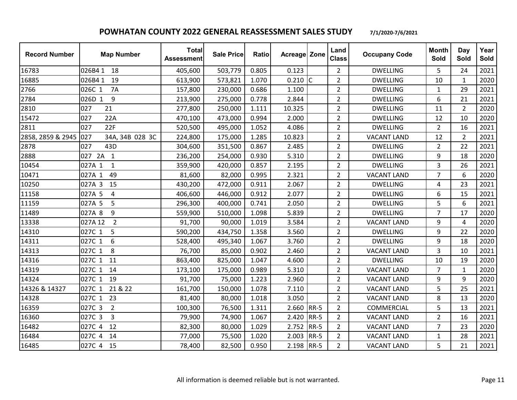| <b>Record Number</b> | <b>Map Number</b>         | <b>Total</b><br><b>Assessment</b> | <b>Sale Price</b> | Ratio | <b>Acreage Zone</b> |             | Land<br><b>Class</b> | <b>Occupany Code</b> | <b>Month</b><br>Sold | Day<br>Sold    | Year<br>Sold |
|----------------------|---------------------------|-----------------------------------|-------------------|-------|---------------------|-------------|----------------------|----------------------|----------------------|----------------|--------------|
| 16783                | 026B41<br>18              | 405,600                           | 503,779           | 0.805 | 0.123               |             | $\overline{2}$       | <b>DWELLING</b>      | 5                    | 24             | 2021         |
| 16885                | 026B41<br>19              | 613,900                           | 573,821           | 1.070 | $0.210$ C           |             | $\overline{2}$       | <b>DWELLING</b>      | 10                   | $\mathbf{1}$   | 2020         |
| 2766                 | 026C 1<br>7A              | 157,800                           | 230,000           | 0.686 | 1.100               |             | $\overline{2}$       | <b>DWELLING</b>      | $\mathbf{1}$         | 29             | 2021         |
| 2784                 | 9<br>026D 1               | 213,900                           | 275,000           | 0.778 | 2.844               |             | $\overline{2}$       | <b>DWELLING</b>      | 6                    | 21             | 2021         |
| 2810                 | 027<br>21                 | 277,800                           | 250,000           | 1.111 | 10.325              |             | $\overline{2}$       | <b>DWELLING</b>      | 11                   | 2              | 2020         |
| 15472                | 22A<br>027                | 470,100                           | 473,000           | 0.994 | 2.000               |             | $\overline{2}$       | <b>DWELLING</b>      | 12                   | 10             | 2020         |
| 2811                 | 22F<br>027                | 520,500                           | 495,000           | 1.052 | 4.086               |             | $\overline{2}$       | <b>DWELLING</b>      | $\overline{2}$       | 16             | 2021         |
| 2858, 2859 & 2945    | 027<br>34A, 34B 028 3C    | 224,800                           | 175,000           | 1.285 | 10.823              |             | $\overline{2}$       | <b>VACANT LAND</b>   | 12                   | $\overline{2}$ | 2021         |
| 2878                 | 027<br>43D                | 304,600                           | 351,500           | 0.867 | 2.485               |             | $\overline{2}$       | <b>DWELLING</b>      | $\overline{2}$       | 22             | 2021         |
| 2888                 | 027 2A 1                  | 236,200                           | 254,000           | 0.930 | 5.310               |             | $\overline{2}$       | <b>DWELLING</b>      | 9                    | 18             | 2020         |
| 10454                | 027A 1<br>$\mathbf{1}$    | 359,900                           | 420,000           | 0.857 | 2.195               |             | $\overline{2}$       | <b>DWELLING</b>      | 3                    | 26             | 2021         |
| 10471                | 49<br>027A 1              | 81,600                            | 82,000            | 0.995 | 2.321               |             | $\overline{2}$       | <b>VACANT LAND</b>   | 7                    | 6              | 2020         |
| 10250                | 027A 3<br>15              | 430,200                           | 472,000           | 0.911 | 2.067               |             | $\overline{2}$       | <b>DWELLING</b>      | 4                    | 23             | 2021         |
| 11158                | 027A 5<br>4               | 406,600                           | 446,000           | 0.912 | 2.077               |             | $\overline{2}$       | <b>DWELLING</b>      | 6                    | 15             | 2021         |
| 11159                | 027A 5<br>5               | 296,300                           | 400,000           | 0.741 | 2.050               |             | $\overline{2}$       | <b>DWELLING</b>      | 5                    | 6              | 2021         |
| 11489                | 027A 8<br>9               | 559,900                           | 510,000           | 1.098 | 5.839               |             | $\overline{2}$       | <b>DWELLING</b>      | $\overline{7}$       | 17             | 2020         |
| 13338                | $\overline{2}$<br>027A 12 | 91,700                            | 90,000            | 1.019 | 3.584               |             | $\overline{2}$       | <b>VACANT LAND</b>   | 9                    | 4              | 2020         |
| 14310                | 5<br>027C 1               | 590,200                           | 434,750           | 1.358 | 3.560               |             | $\overline{2}$       | <b>DWELLING</b>      | 9                    | 22             | 2020         |
| 14311                | 027C 1<br>6               | 528,400                           | 495,340           | 1.067 | 3.760               |             | $\overline{2}$       | <b>DWELLING</b>      | 9                    | 18             | 2020         |
| 14313                | 027C 1<br>8               | 76,700                            | 85,000            | 0.902 | 2.460               |             | $\overline{2}$       | <b>VACANT LAND</b>   | 3                    | 10             | 2021         |
| 14316                | 11<br>027C 1              | 863,400                           | 825,000           | 1.047 | 4.600               |             | $\overline{2}$       | <b>DWELLING</b>      | 10                   | 19             | 2020         |
| 14319                | 027C 1<br>14              | 173,100                           | 175,000           | 0.989 | 5.310               |             | $\overline{2}$       | <b>VACANT LAND</b>   | $\overline{7}$       | $\mathbf{1}$   | 2020         |
| 14324                | 027C 1<br>19              | 91,700                            | 75,000            | 1.223 | 2.960               |             | $\overline{2}$       | <b>VACANT LAND</b>   | 9                    | 9              | 2020         |
| 14326 & 14327        | 21 & 22<br>027C 1         | 161,700                           | 150,000           | 1.078 | 7.110               |             | $\overline{2}$       | <b>VACANT LAND</b>   | 5                    | 25             | 2021         |
| 14328                | 23<br>027C 1              | 81,400                            | 80,000            | 1.018 | 3.050               |             | $\overline{2}$       | <b>VACANT LAND</b>   | 8                    | 13             | 2020         |
| 16359                | 027C 3<br>$\overline{2}$  | 100,300                           | 76,500            | 1.311 | 2.660 RR-5          |             | $\overline{2}$       | COMMERCIAL           | 5                    | 13             | 2021         |
| 16360                | $\overline{3}$<br>027C 3  | 79,900                            | 74,900            | 1.067 | 2.420               | <b>RR-5</b> | $\overline{2}$       | <b>VACANT LAND</b>   | $\overline{2}$       | 16             | 2021         |
| 16482                | 12<br>027C 4              | 82,300                            | 80,000            | 1.029 | 2.752               | $RR-5$      | $\overline{2}$       | <b>VACANT LAND</b>   | $\overline{7}$       | 23             | 2020         |
| 16484                | 14<br>027C 4              | 77,000                            | 75,500            | 1.020 | 2.003               | $RR-5$      | $\overline{2}$       | <b>VACANT LAND</b>   | $\mathbf{1}$         | 28             | 2021         |
| 16485                | 027C 4 15                 | 78,400                            | 82,500            | 0.950 | 2.198 RR-5          |             | $\overline{2}$       | <b>VACANT LAND</b>   | 5                    | 21             | 2021         |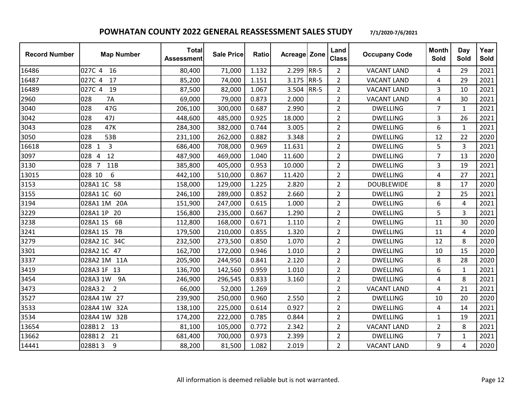| <b>Record Number</b> | <b>Map Number</b>           | <b>Total</b><br><b>Assessment</b> | <b>Sale Price</b> | Ratio | <b>Acreage Zone</b> |             | Land<br><b>Class</b> | <b>Occupany Code</b> | <b>Month</b><br>Sold | Day<br>Sold    | Year<br>Sold |
|----------------------|-----------------------------|-----------------------------------|-------------------|-------|---------------------|-------------|----------------------|----------------------|----------------------|----------------|--------------|
| 16486                | 027C 4<br>16                | 80,400                            | 71,000            | 1.132 | 2.299               | $RR-5$      | $\overline{2}$       | <b>VACANT LAND</b>   | 4                    | 29             | 2021         |
| 16487                | 17<br>027C 4                | 85,200                            | 74,000            | 1.151 | 3.175               | <b>RR-5</b> | $\overline{2}$       | <b>VACANT LAND</b>   | 4                    | 29             | 2021         |
| 16489                | 027C 4<br>19                | 87,500                            | 82,000            | 1.067 | 3.504               | <b>RR-5</b> | $\overline{2}$       | <b>VACANT LAND</b>   | 3                    | 10             | 2021         |
| 2960                 | 028<br><b>7A</b>            | 69,000                            | 79,000            | 0.873 | 2.000               |             | $\overline{2}$       | <b>VACANT LAND</b>   | 4                    | 30             | 2021         |
| 3040                 | 47G<br>028                  | 206,100                           | 300,000           | 0.687 | 2.990               |             | $\overline{2}$       | <b>DWELLING</b>      | $\overline{7}$       | 1              | 2021         |
| 3042                 | 47J<br>028                  | 448,600                           | 485,000           | 0.925 | 18.000              |             | $\overline{2}$       | <b>DWELLING</b>      | 3                    | 26             | 2021         |
| 3043                 | 028<br>47K                  | 284,300                           | 382,000           | 0.744 | 3.005               |             | $\overline{2}$       | <b>DWELLING</b>      | 6                    | $\mathbf{1}$   | 2021         |
| 3050                 | 53B<br>028                  | 231,100                           | 262,000           | 0.882 | 3.348               |             | $\overline{2}$       | <b>DWELLING</b>      | 12                   | 22             | 2020         |
| 16618                | 028 1<br>3                  | 686,400                           | 708,000           | 0.969 | 11.631              |             | $\overline{2}$       | <b>DWELLING</b>      | 5                    | 3              | 2021         |
| 3097                 | 12<br>028<br>$\overline{4}$ | 487,900                           | 469,000           | 1.040 | 11.600              |             | $\overline{2}$       | <b>DWELLING</b>      | $\overline{7}$       | 13             | 2020         |
| 3130                 | 028 7<br>11B                | 385,800                           | 405,000           | 0.953 | 10.000              |             | $\overline{2}$       | <b>DWELLING</b>      | 3                    | 19             | 2021         |
| 13015                | 028 10<br>6                 | 442,100                           | 510,000           | 0.867 | 11.420              |             | $\overline{2}$       | <b>DWELLING</b>      | 4                    | 27             | 2021         |
| 3153                 | 028A1 1C 58                 | 158,000                           | 129,000           | 1.225 | 2.820               |             | $\overline{2}$       | <b>DOUBLEWIDE</b>    | 8                    | 17             | 2020         |
| 3155                 | 028A1 1C 60                 | 246,100                           | 289,000           | 0.852 | 2.660               |             | $\overline{2}$       | <b>DWELLING</b>      | $\overline{2}$       | 25             | 2021         |
| 3194                 | 028A1 1M 20A                | 151,900                           | 247,000           | 0.615 | 1.000               |             | $\overline{2}$       | <b>DWELLING</b>      | 6                    | $\overline{4}$ | 2021         |
| 3229                 | 028A1 1P<br>20              | 156,800                           | 235,000           | 0.667 | 1.290               |             | $\overline{2}$       | <b>DWELLING</b>      | 5                    | $\overline{3}$ | 2021         |
| 3238                 | 028A1 1S<br>6B              | 112,800                           | 168,000           | 0.671 | 1.110               |             | $\overline{2}$       | <b>DWELLING</b>      | 11                   | 30             | 2020         |
| 3241                 | 7B<br>028A1 1S              | 179,500                           | 210,000           | 0.855 | 1.320               |             | $\overline{2}$       | <b>DWELLING</b>      | 11                   | 4              | 2020         |
| 3279                 | 34C<br>028A2 1C             | 232,500                           | 273,500           | 0.850 | 1.070               |             | $\overline{2}$       | <b>DWELLING</b>      | 12                   | 8              | 2020         |
| 3301                 | 028A2 1C 47                 | 162,700                           | 172,000           | 0.946 | 1.010               |             | $\overline{2}$       | <b>DWELLING</b>      | 10                   | 15             | 2020         |
| 3337                 | 028A2 1M 11A                | 205,900                           | 244,950           | 0.841 | 2.120               |             | $\overline{2}$       | <b>DWELLING</b>      | 8                    | 28             | 2020         |
| 3419                 | 028A3 1F 13                 | 136,700                           | 142,560           | 0.959 | 1.010               |             | $\overline{2}$       | <b>DWELLING</b>      | 6                    | $\mathbf{1}$   | 2021         |
| 3454                 | 028A3 1W 9A                 | 246,900                           | 296,545           | 0.833 | 3.160               |             | $\overline{2}$       | <b>DWELLING</b>      | 4                    | 8              | 2021         |
| 3473                 | 028A3 2<br>$\overline{2}$   | 66,000                            | 52,000            | 1.269 |                     |             | $\overline{2}$       | <b>VACANT LAND</b>   | 4                    | 21             | 2021         |
| 3527                 | 028A4 1W 27                 | 239,900                           | 250,000           | 0.960 | 2.550               |             | $\overline{2}$       | <b>DWELLING</b>      | 10                   | 20             | 2020         |
| 3533                 | 028A4 1W<br>32A             | 138,100                           | 225,000           | 0.614 | 0.927               |             | $\overline{2}$       | <b>DWELLING</b>      | 4                    | 14             | 2021         |
| 3534                 | 028A4 1W 32B                | 174,200                           | 222,000           | 0.785 | 0.844               |             | $\overline{2}$       | <b>DWELLING</b>      | 1                    | 19             | 2021         |
| 13654                | 028B12<br>13                | 81,100                            | 105,000           | 0.772 | 2.342               |             | $\overline{2}$       | <b>VACANT LAND</b>   | $\overline{2}$       | 8              | 2021         |
| 13662                | 21<br>028B12                | 681,400                           | 700,000           | 0.973 | 2.399               |             | $\overline{2}$       | <b>DWELLING</b>      | $\overline{7}$       | $\mathbf{1}$   | 2021         |
| 14441                | 028B13<br>9                 | 88,200                            | 81,500            | 1.082 | 2.019               |             | $\overline{2}$       | <b>VACANT LAND</b>   | 9                    | 4              | 2020         |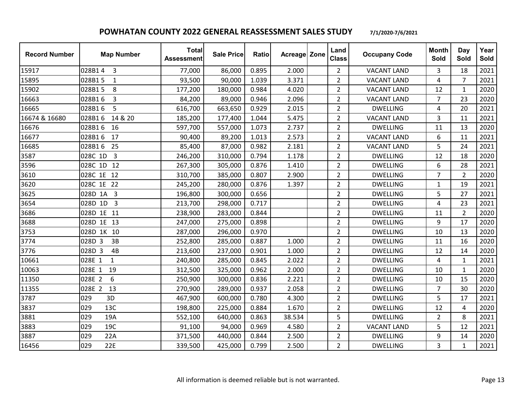| <b>Record Number</b> | <b>Map Number</b>                  | <b>Total</b><br><b>Assessment</b> | <b>Sale Price</b> | <b>Ratio</b> | Acreage Zone | Land<br><b>Class</b> | <b>Occupany Code</b> | <b>Month</b><br>Sold | Day<br>Sold    | Year<br>Sold |
|----------------------|------------------------------------|-----------------------------------|-------------------|--------------|--------------|----------------------|----------------------|----------------------|----------------|--------------|
| 15917                | 028B14<br>3                        | 77,000                            | 86,000            | 0.895        | 2.000        | $\overline{2}$       | <b>VACANT LAND</b>   | 3                    | 18             | 2021         |
| 15895                | 028B15<br>$\mathbf{1}$             | 93,500                            | 90,000            | 1.039        | 3.371        | $\overline{2}$       | <b>VACANT LAND</b>   | 4                    | $\overline{7}$ | 2021         |
| 15902                | 028B15<br>8                        | 177,200                           | 180,000           | 0.984        | 4.020        | $\overline{2}$       | <b>VACANT LAND</b>   | 12                   | $\mathbf{1}$   | 2020         |
| 16663                | 028B16<br>3                        | 84,200                            | 89,000            | 0.946        | 2.096        | $\overline{2}$       | <b>VACANT LAND</b>   | $\overline{7}$       | 23             | 2020         |
| 16665                | 5<br>028B16                        | 616,700                           | 663,650           | 0.929        | 2.015        | $\overline{2}$       | <b>DWELLING</b>      | 4                    | 20             | 2021         |
| 16674 & 16680        | 028B16<br>14 & 20                  | 185,200                           | 177,400           | 1.044        | 5.475        | $\overline{2}$       | <b>VACANT LAND</b>   | 3                    | 11             | 2021         |
| 16676                | 028B16<br>16                       | 597,700                           | 557,000           | 1.073        | 2.737        | $\overline{2}$       | <b>DWELLING</b>      | 11                   | 13             | 2020         |
| 16677                | 028B16<br>17                       | 90,400                            | 89,200            | 1.013        | 2.573        | $\overline{2}$       | <b>VACANT LAND</b>   | 6                    | 11             | 2021         |
| 16685                | 028B16<br>25                       | 85,400                            | 87,000            | 0.982        | 2.181        | $\overline{2}$       | <b>VACANT LAND</b>   | 5                    | 24             | 2021         |
| 3587                 | 028C 1D<br>$\overline{\mathbf{3}}$ | 246,200                           | 310,000           | 0.794        | 1.178        | $\overline{2}$       | <b>DWELLING</b>      | 12                   | 18             | 2020         |
| 3596                 | 028C 1D 12                         | 267,300                           | 305,000           | 0.876        | 1.410        | $\overline{2}$       | <b>DWELLING</b>      | 6                    | 28             | 2021         |
| 3610                 | 028C 1E 12                         | 310,700                           | 385,000           | 0.807        | 2.900        | $\overline{2}$       | <b>DWELLING</b>      | $\overline{7}$       | $\overline{2}$ | 2020         |
| 3620                 | 028C 1E 22                         | 245,200                           | 280,000           | 0.876        | 1.397        | $\overline{2}$       | <b>DWELLING</b>      | 1                    | 19             | 2021         |
| 3625                 | 028D 1A<br>3                       | 196,800                           | 300,000           | 0.656        |              | $\overline{2}$       | <b>DWELLING</b>      | 5                    | 27             | 2021         |
| 3654                 | 028D 1D<br>$\overline{3}$          | 213,700                           | 298,000           | 0.717        |              | $\overline{2}$       | <b>DWELLING</b>      | 4                    | 23             | 2021         |
| 3686                 | 028D 1E 11                         | 238,900                           | 283,000           | 0.844        |              | $\overline{2}$       | <b>DWELLING</b>      | 11                   | $\overline{2}$ | 2020         |
| 3688                 | 028D 1E 13                         | 247,000                           | 275,000           | 0.898        |              | $\overline{2}$       | <b>DWELLING</b>      | 9                    | 17             | 2020         |
| 3753                 | 028D 1K 10                         | 287,000                           | 296,000           | 0.970        |              | $\overline{2}$       | <b>DWELLING</b>      | 10                   | 13             | 2020         |
| 3774                 | 028D 3<br>3B                       | 252,800                           | 285,000           | 0.887        | 1.000        | $\overline{2}$       | <b>DWELLING</b>      | 11                   | 16             | 2020         |
| 3776                 | 028D 3<br>4B                       | 213,600                           | 237,000           | 0.901        | 1.000        | $\overline{2}$       | <b>DWELLING</b>      | 12                   | 14             | 2020         |
| 10661                | 028E 1<br>$\mathbf{1}$             | 240,800                           | 285,000           | 0.845        | 2.022        | $\overline{2}$       | <b>DWELLING</b>      | 4                    | $\mathbf{1}$   | 2021         |
| 10063                | 19<br>028E 1                       | 312,500                           | 325,000           | 0.962        | 2.000        | $\overline{2}$       | <b>DWELLING</b>      | 10                   | $\mathbf{1}$   | 2020         |
| 11350                | 028E 2<br>6                        | 250,900                           | 300,000           | 0.836        | 2.221        | $\overline{2}$       | <b>DWELLING</b>      | 10                   | 15             | 2020         |
| 11355                | 028E 2<br>13                       | 270,900                           | 289,000           | 0.937        | 2.058        | $\overline{2}$       | <b>DWELLING</b>      | $\overline{7}$       | 30             | 2020         |
| 3787                 | 029<br>3D                          | 467,900                           | 600,000           | 0.780        | 4.300        | $\overline{2}$       | <b>DWELLING</b>      | 5                    | 17             | 2021         |
| 3837                 | 13C<br>029                         | 198,800                           | 225,000           | 0.884        | 1.670        | $\overline{2}$       | <b>DWELLING</b>      | 12                   | 4              | 2020         |
| 3881                 | 029<br>19A                         | 552,100                           | 640,000           | 0.863        | 38.534       | 5                    | <b>DWELLING</b>      | $\overline{2}$       | 8              | 2021         |
| 3883                 | 029<br>19C                         | 91,100                            | 94,000            | 0.969        | 4.580        | $\overline{2}$       | <b>VACANT LAND</b>   | 5                    | 12             | 2021         |
| 3887                 | 22A<br>029                         | 371,500                           | 440,000           | 0.844        | 2.500        | $\overline{2}$       | <b>DWELLING</b>      | 9                    | 14             | 2020         |
| 16456                | 029<br>22E                         | 339,500                           | 425,000           | 0.799        | 2.500        | $\overline{2}$       | <b>DWELLING</b>      | 3                    | $\mathbf{1}$   | 2021         |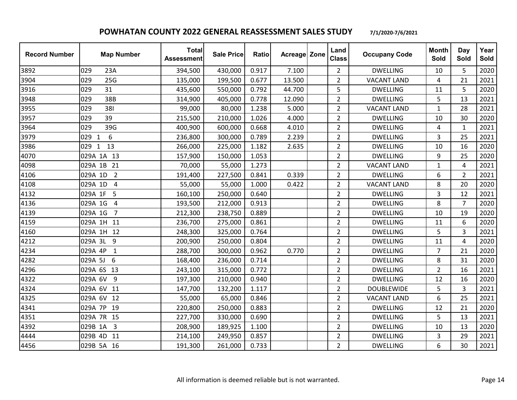| <b>Record Number</b> | <b>Map Number</b>         | <b>Total</b><br><b>Assessment</b> | <b>Sale Price</b> | Ratio | Acreage Zone | Land<br><b>Class</b> | <b>Occupany Code</b> | <b>Month</b><br>Sold | Day<br>Sold    | Year<br>Sold |
|----------------------|---------------------------|-----------------------------------|-------------------|-------|--------------|----------------------|----------------------|----------------------|----------------|--------------|
| 3892                 | 029<br>23A                | 394,500                           | 430,000           | 0.917 | 7.100        | $\overline{2}$       | <b>DWELLING</b>      | 10                   | 5              | 2020         |
| 3904                 | 029<br>25G                | 135,000                           | 199,500           | 0.677 | 13.500       | $\overline{2}$       | <b>VACANT LAND</b>   | 4                    | 21             | 2021         |
| 3916                 | 31<br>029                 | 435,600                           | 550,000           | 0.792 | 44.700       | 5                    | <b>DWELLING</b>      | 11                   | 5              | 2020         |
| 3948                 | 38B<br>029                | 314,900                           | 405,000           | 0.778 | 12.090       | $\overline{2}$       | <b>DWELLING</b>      | 5                    | 13             | 2021         |
| 3955                 | 029<br>381                | 99,000                            | 80,000            | 1.238 | 5.000        | $\overline{2}$       | <b>VACANT LAND</b>   | 1                    | 28             | 2021         |
| 3957                 | 39<br>029                 | 215,500                           | 210,000           | 1.026 | 4.000        | $\overline{2}$       | <b>DWELLING</b>      | 10                   | 30             | 2020         |
| 3964                 | 029<br>39G                | 400,900                           | 600,000           | 0.668 | 4.010        | $\overline{2}$       | <b>DWELLING</b>      | 4                    | $\mathbf{1}$   | 2021         |
| 3979                 | 6<br>029<br>1             | 236,800                           | 300,000           | 0.789 | 2.239        | $\overline{2}$       | <b>DWELLING</b>      | 3                    | 25             | 2021         |
| 3986                 | 13<br>029 1               | 266,000                           | 225,000           | 1.182 | 2.635        | $\overline{2}$       | <b>DWELLING</b>      | 10                   | 16             | 2020         |
| 4070                 | 029A 1A 13                | 157,900                           | 150,000           | 1.053 |              | $\overline{2}$       | <b>DWELLING</b>      | 9                    | 25             | 2020         |
| 4098                 | 029A 1B 21                | 70,000                            | 55,000            | 1.273 |              | $\overline{2}$       | <b>VACANT LAND</b>   | 1                    | 4              | 2021         |
| 4106                 | 029A 1D<br>$\overline{2}$ | 191,400                           | 227,500           | 0.841 | 0.339        | $\overline{2}$       | <b>DWELLING</b>      | 6                    | $\overline{2}$ | 2021         |
| 4108                 | 029A 1D<br>$\overline{4}$ | 55,000                            | 55,000            | 1.000 | 0.422        | $\overline{2}$       | <b>VACANT LAND</b>   | 8                    | 20             | 2020         |
| 4132                 | 5<br>029A 1F              | 160,100                           | 250,000           | 0.640 |              | $\overline{2}$       | <b>DWELLING</b>      | 3                    | 12             | 2021         |
| 4136                 | 029A 1G<br>4              | 193,500                           | 212,000           | 0.913 |              | $\overline{2}$       | <b>DWELLING</b>      | 8                    | $\overline{7}$ | 2020         |
| 4139                 | 029A 1G<br>$\overline{7}$ | 212,300                           | 238,750           | 0.889 |              | $\overline{2}$       | <b>DWELLING</b>      | 10                   | 19             | 2020         |
| 4159                 | 029A 1H 11                | 236,700                           | 275,000           | 0.861 |              | $\overline{2}$       | <b>DWELLING</b>      | 11                   | 6              | 2020         |
| 4160                 | 029A 1H 12                | 248,300                           | 325,000           | 0.764 |              | $\overline{2}$       | <b>DWELLING</b>      | 5                    | 3              | 2021         |
| 4212                 | 029A 3L<br>9              | 200,900                           | 250,000           | 0.804 |              | $\overline{2}$       | <b>DWELLING</b>      | 11                   | 4              | 2020         |
| 4234                 | 029A 4P<br>$\mathbf{1}$   | 288,700                           | 300,000           | 0.962 | 0.770        | $\overline{2}$       | <b>DWELLING</b>      | $\overline{7}$       | 21             | 2020         |
| 4282                 | 6<br>029A 5J              | 168,400                           | 236,000           | 0.714 |              | $\overline{2}$       | <b>DWELLING</b>      | 8                    | 31             | 2020         |
| 4296                 | 029A 6S 13                | 243,100                           | 315,000           | 0.772 |              | $\overline{2}$       | <b>DWELLING</b>      | $\overline{2}$       | 16             | 2021         |
| 4322                 | 029A 6V<br>9              | 197,300                           | 210,000           | 0.940 |              | $\overline{2}$       | <b>DWELLING</b>      | 12                   | 16             | 2020         |
| 4324                 | 029A 6V<br>11             | 147,700                           | 132,200           | 1.117 |              | $\overline{2}$       | <b>DOUBLEWIDE</b>    | 5                    | $\overline{3}$ | 2021         |
| 4325                 | 029A 6V 12                | 55,000                            | 65,000            | 0.846 |              | $\overline{2}$       | <b>VACANT LAND</b>   | 6                    | 25             | 2021         |
| 4341                 | 029A 7P 19                | 220,800                           | 250,000           | 0.883 |              | $\overline{2}$       | <b>DWELLING</b>      | 12                   | 21             | 2020         |
| 4351                 | 029A 7R 15                | 227,700                           | 330,000           | 0.690 |              | $\overline{2}$       | <b>DWELLING</b>      | 5                    | 13             | 2021         |
| 4392                 | 3<br>029B 1A              | 208,900                           | 189,925           | 1.100 |              | $\overline{2}$       | <b>DWELLING</b>      | 10                   | 13             | 2020         |
| 4444                 | 029B 4D<br>11             | 214,100                           | 249,950           | 0.857 |              | $\overline{2}$       | <b>DWELLING</b>      | 3                    | 29             | 2021         |
| 4456                 | 029B 5A 16                | 191,300                           | 261,000           | 0.733 |              | $\overline{2}$       | <b>DWELLING</b>      | 6                    | 30             | 2021         |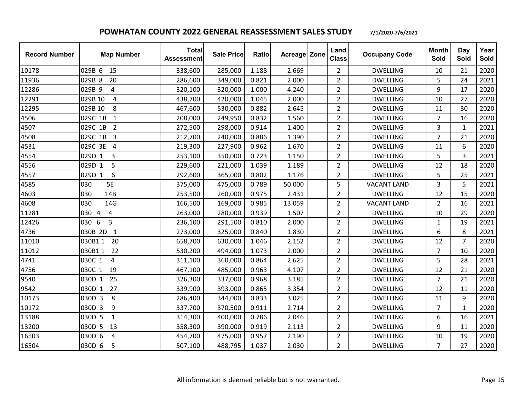| <b>Record Number</b> | <b>Map Number</b>         | <b>Total</b><br><b>Assessment</b> | <b>Sale Price</b> | <b>Ratio</b> | Acreage Zone | Land<br><b>Class</b> | <b>Occupany Code</b> | <b>Month</b><br>Sold | Day<br>Sold    | Year<br><b>Sold</b> |
|----------------------|---------------------------|-----------------------------------|-------------------|--------------|--------------|----------------------|----------------------|----------------------|----------------|---------------------|
| 10178                | 029B 6<br>15              | 338,600                           | 285,000           | 1.188        | 2.669        | $\overline{2}$       | <b>DWELLING</b>      | 10                   | 21             | 2020                |
| 11936                | 029B 8<br>20              | 286,600                           | 349,000           | 0.821        | 2.000        | $\overline{2}$       | <b>DWELLING</b>      | 5                    | 24             | 2021                |
| 12286                | 029B 9<br>$\sqrt{4}$      | 320,100                           | 320,000           | 1.000        | 4.240        | $\overline{2}$       | <b>DWELLING</b>      | 9                    | 17             | 2020                |
| 12291                | 029B 10<br>$\overline{4}$ | 438,700                           | 420,000           | 1.045        | 2.000        | $\overline{2}$       | <b>DWELLING</b>      | 10                   | 27             | 2020                |
| 12295                | 029B 10<br>8              | 467,600                           | 530,000           | 0.882        | 2.645        | $\overline{2}$       | <b>DWELLING</b>      | 11                   | 30             | 2020                |
| 4506                 | 029C 1B<br>$\mathbf{1}$   | 208,000                           | 249,950           | 0.832        | 1.560        | $\overline{2}$       | <b>DWELLING</b>      | $\overline{7}$       | 16             | 2020                |
| 4507                 | 029C 1B<br>$\overline{2}$ | 272,500                           | 298,000           | 0.914        | 1.400        | $\overline{2}$       | <b>DWELLING</b>      | 3                    | $\mathbf{1}$   | 2021                |
| 4508                 | $\overline{3}$<br>029C 1B | 212,700                           | 240,000           | 0.886        | 1.390        | $\overline{2}$       | <b>DWELLING</b>      | $\overline{7}$       | 21             | 2020                |
| 4531                 | 029C 3E 4                 | 219,300                           | 227,900           | 0.962        | 1.670        | $\overline{2}$       | <b>DWELLING</b>      | 11                   | 6              | 2020                |
| 4554                 | 029D 1<br>3               | 253,100                           | 350,000           | 0.723        | 1.150        | $\overline{2}$       | <b>DWELLING</b>      | 5                    | 3              | 2021                |
| 4556                 | 029D 1<br>5               | 229,600                           | 221,000           | 1.039        | 1.189        | $\overline{2}$       | <b>DWELLING</b>      | 12                   | 18             | 2020                |
| 4557                 | 6<br>029D 1               | 292,600                           | 365,000           | 0.802        | 1.176        | $\overline{2}$       | <b>DWELLING</b>      | 5                    | 25             | 2021                |
| 4585                 | 5E<br>030                 | 375,000                           | 475,000           | 0.789        | 50.000       | 5                    | <b>VACANT LAND</b>   | 3                    | 5              | 2021                |
| 4603                 | 030<br>14B                | 253,500                           | 260,000           | 0.975        | 2.431        | $\overline{2}$       | <b>DWELLING</b>      | 12                   | 15             | 2020                |
| 4608                 | 14G<br>030                | 166,500                           | 169,000           | 0.985        | 13.059       | $\overline{2}$       | <b>VACANT LAND</b>   | $\overline{2}$       | 16             | 2021                |
| 11281                | 030 4<br>$\overline{4}$   | 263,000                           | 280,000           | 0.939        | 1.507        | $\overline{2}$       | <b>DWELLING</b>      | 10                   | 29             | 2020                |
| 12426                | 6<br>3<br>030             | 236,100                           | 291,500           | 0.810        | 2.000        | $\overline{2}$       | <b>DWELLING</b>      | $\mathbf{1}$         | 19             | 2021                |
| 4736                 | 030B 2D<br>$\mathbf{1}$   | 273,000                           | 325,000           | 0.840        | 1.830        | $\overline{2}$       | <b>DWELLING</b>      | 6                    | 8              | 2021                |
| 11010                | 20<br>030B11              | 658,700                           | 630,000           | 1.046        | 2.152        | $\overline{2}$       | <b>DWELLING</b>      | 12                   | $\overline{7}$ | 2020                |
| 11012                | 030B11<br>22              | 530,200                           | 494,000           | 1.073        | 2.000        | $\overline{2}$       | <b>DWELLING</b>      | $\overline{7}$       | 10             | 2020                |
| 4741                 | 030C 1<br>4               | 311,100                           | 360,000           | 0.864        | 2.625        | $\overline{2}$       | <b>DWELLING</b>      | 5                    | 28             | 2021                |
| 4756                 | 030C 1<br>19              | 467,100                           | 485,000           | 0.963        | 4.107        | $\overline{2}$       | <b>DWELLING</b>      | 12                   | 21             | 2020                |
| 9540                 | 25<br>030D 1              | 326,300                           | 337,000           | 0.968        | 3.185        | $\overline{2}$       | <b>DWELLING</b>      | $\overline{7}$       | 21             | 2020                |
| 9542                 | 27<br>030D 1              | 339,900                           | 393,000           | 0.865        | 3.354        | $\overline{2}$       | <b>DWELLING</b>      | 12                   | 11             | 2020                |
| 10173                | 8<br>030D 3               | 286,400                           | 344,000           | 0.833        | 3.025        | $\overline{2}$       | <b>DWELLING</b>      | 11                   | 9              | 2020                |
| 10172                | 9<br>030D 3               | 337,700                           | 370,500           | 0.911        | 2.714        | $\overline{2}$       | <b>DWELLING</b>      | $\overline{7}$       | $\mathbf{1}$   | 2020                |
| 13188                | 030D 5<br>$\mathbf{1}$    | 314,300                           | 400,000           | 0.786        | 2.046        | $\overline{2}$       | <b>DWELLING</b>      | 6                    | 16             | 2021                |
| 13200                | 030D 5<br>13              | 358,300                           | 390,000           | 0.919        | 2.113        | $\overline{2}$       | <b>DWELLING</b>      | 9                    | 11             | 2020                |
| 16503                | 030D 6<br>$\overline{4}$  | 454,700                           | 475,000           | 0.957        | 2.190        | $\overline{2}$       | <b>DWELLING</b>      | 10                   | 19             | 2020                |
| 16504                | 030D 6<br>5               | 507,100                           | 488,795           | 1.037        | 2.030        | $\overline{2}$       | <b>DWELLING</b>      | $\overline{7}$       | 27             | 2020                |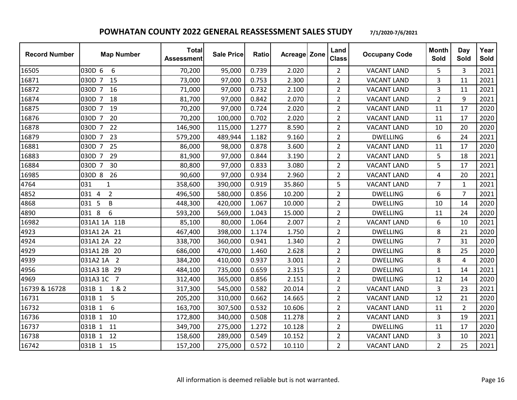| <b>Record Number</b> | <b>Map Number</b>          | <b>Total</b><br><b>Assessment</b> | <b>Sale Price</b> | <b>Ratio</b> | Acreage Zone | Land<br><b>Class</b> | <b>Occupany Code</b> | <b>Month</b><br><b>Sold</b> | Day<br>Sold    | Year<br>Sold |
|----------------------|----------------------------|-----------------------------------|-------------------|--------------|--------------|----------------------|----------------------|-----------------------------|----------------|--------------|
| 16505                | 6<br>030D 6                | 70,200                            | 95,000            | 0.739        | 2.020        | $\overline{2}$       | <b>VACANT LAND</b>   | 5                           | 3              | 2021         |
| 16871                | 030D 7 15                  | 73,000                            | 97,000            | 0.753        | 2.300        | $\overline{2}$       | <b>VACANT LAND</b>   | 3                           | 11             | 2021         |
| 16872                | 030D 7<br>16               | 71,000                            | 97,000            | 0.732        | 2.100        | $\overline{2}$       | <b>VACANT LAND</b>   | 3                           | 11             | 2021         |
| 16874                | 030D 7<br>18               | 81,700                            | 97,000            | 0.842        | 2.070        | $\overline{2}$       | <b>VACANT LAND</b>   | $\overline{2}$              | 9              | 2021         |
| 16875                | 030D 7<br>19               | 70,200                            | 97,000            | 0.724        | 2.020        | $\overline{2}$       | <b>VACANT LAND</b>   | 11                          | 17             | 2020         |
| 16876                | 030D 7<br>20               | 70,200                            | 100,000           | 0.702        | 2.020        | $\overline{2}$       | <b>VACANT LAND</b>   | 11                          | 17             | 2020         |
| 16878                | 22<br>030D 7               | 146,900                           | 115,000           | 1.277        | 8.590        | $\overline{2}$       | <b>VACANT LAND</b>   | 10                          | 20             | 2020         |
| 16879                | 23<br>030D 7               | 579,200                           | 489,944           | 1.182        | 9.160        | $\overline{2}$       | <b>DWELLING</b>      | 6                           | 24             | 2021         |
| 16881                | 030D 7<br>25               | 86,000                            | 98,000            | 0.878        | 3.600        | $\overline{2}$       | <b>VACANT LAND</b>   | 11                          | 17             | 2020         |
| 16883                | 29<br>030D 7               | 81,900                            | 97,000            | 0.844        | 3.190        | $\overline{2}$       | <b>VACANT LAND</b>   | 5                           | 18             | 2021         |
| 16884                | 30<br>030D 7               | 80,800                            | 97,000            | 0.833        | 3.080        | $\overline{2}$       | <b>VACANT LAND</b>   | 5                           | 17             | 2021         |
| 16985                | 26<br>030D 8               | 90,600                            | 97,000            | 0.934        | 2.960        | $\overline{2}$       | <b>VACANT LAND</b>   | 4                           | 20             | 2021         |
| 4764                 | 031<br>$\mathbf{1}$        | 358,600                           | 390,000           | 0.919        | 35.860       | 5                    | <b>VACANT LAND</b>   | $\overline{7}$              | $\mathbf{1}$   | 2021         |
| 4852                 | $\overline{2}$<br>031 4    | 496,500                           | 580,000           | 0.856        | 10.200       | $\overline{2}$       | <b>DWELLING</b>      | 6                           | $\overline{7}$ | 2021         |
| 4868                 | 031 5<br>B                 | 448,300                           | 420,000           | 1.067        | 10.000       | $\overline{2}$       | <b>DWELLING</b>      | 10                          | 14             | 2020         |
| 4890                 | 031 8<br>6                 | 593,200                           | 569,000           | 1.043        | 15.000       | $\overline{2}$       | <b>DWELLING</b>      | 11                          | 24             | 2020         |
| 16982                | 031A1 1A 11B               | 85,100                            | 80,000            | 1.064        | 2.007        | $\overline{2}$       | <b>VACANT LAND</b>   | 6                           | 10             | 2021         |
| 4923                 | 031A1 2A 21                | 467,400                           | 398,000           | 1.174        | 1.750        | $\overline{2}$       | <b>DWELLING</b>      | 8                           | 21             | 2020         |
| 4924                 | 031A1 2A 22                | 338,700                           | 360,000           | 0.941        | 1.340        | $\overline{2}$       | <b>DWELLING</b>      | $\overline{7}$              | 31             | 2020         |
| 4929                 | 031A1 2B<br>20             | 686,000                           | 470,000           | 1.460        | 2.628        | $\overline{2}$       | <b>DWELLING</b>      | 8                           | 25             | 2020         |
| 4939                 | $\overline{2}$<br>031A2 1A | 384,200                           | 410,000           | 0.937        | 3.001        | $\overline{2}$       | <b>DWELLING</b>      | 8                           | 4              | 2020         |
| 4956                 | 031A3 1B<br>29             | 484,100                           | 735,000           | 0.659        | 2.315        | $\overline{2}$       | <b>DWELLING</b>      | $\mathbf{1}$                | 14             | 2021         |
| 4969                 | 031A3 1C<br>$\overline{7}$ | 312,400                           | 365,000           | 0.856        | 2.151        | $\overline{2}$       | <b>DWELLING</b>      | 12                          | 14             | 2020         |
| 16739 & 16728        | 031B 1<br>1&2              | 317,300                           | 545,000           | 0.582        | 20.014       | $\overline{2}$       | <b>VACANT LAND</b>   | 3                           | 23             | 2021         |
| 16731                | 5<br>031B 1                | 205,200                           | 310,000           | 0.662        | 14.665       | $\overline{2}$       | <b>VACANT LAND</b>   | 12                          | 21             | 2020         |
| 16732                | 6<br>031B 1                | 163,700                           | 307,500           | 0.532        | 10.606       | $\overline{2}$       | <b>VACANT LAND</b>   | 11                          | $\overline{2}$ | 2020         |
| 16736                | 031B 1<br>10               | 172,800                           | 340,000           | 0.508        | 11.278       | $\overline{2}$       | <b>VACANT LAND</b>   | 3                           | 19             | 2021         |
| 16737                | 11<br>031B 1               | 349,700                           | 275,000           | 1.272        | 10.128       | $\overline{2}$       | <b>DWELLING</b>      | 11                          | 17             | 2020         |
| 16738                | 12<br>031B 1               | 158,600                           | 289,000           | 0.549        | 10.152       | $\overline{2}$       | <b>VACANT LAND</b>   | 3                           | 10             | 2021         |
| 16742                | 031B 1 15                  | 157,200                           | 275,000           | 0.572        | 10.110       | $\overline{2}$       | <b>VACANT LAND</b>   | $\overline{2}$              | 25             | 2021         |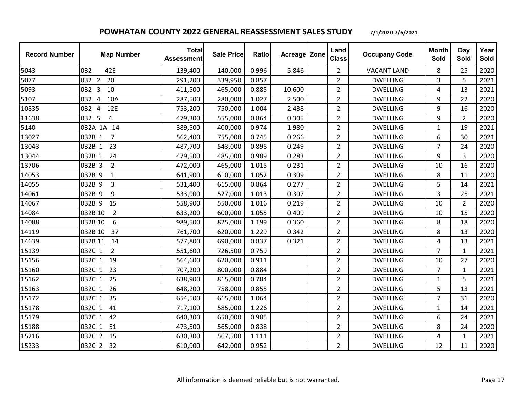| <b>Record Number</b> | <b>Map Number</b>         | <b>Total</b><br><b>Assessment</b> | <b>Sale Price</b> | Ratio | <b>Acreage Zone</b> | Land<br><b>Class</b> | <b>Occupany Code</b> | <b>Month</b><br>Sold | Day<br>Sold    | Year<br>Sold |
|----------------------|---------------------------|-----------------------------------|-------------------|-------|---------------------|----------------------|----------------------|----------------------|----------------|--------------|
| 5043                 | 032<br>42E                | 139,400                           | 140,000           | 0.996 | 5.846               | $\overline{2}$       | <b>VACANT LAND</b>   | 8                    | 25             | 2020         |
| 5077                 | 032 2<br>20               | 291,200                           | 339,950           | 0.857 |                     | $\overline{2}$       | <b>DWELLING</b>      | 3                    | 5              | 2021         |
| 5093                 | 032 3<br>10               | 411,500                           | 465,000           | 0.885 | 10.600              | $\overline{2}$       | <b>DWELLING</b>      | 4                    | 13             | 2021         |
| 5107                 | 10A<br>032 4              | 287,500                           | 280,000           | 1.027 | 2.500               | $\overline{2}$       | <b>DWELLING</b>      | 9                    | 22             | 2020         |
| 10835                | 12E<br>032 4              | 753,200                           | 750,000           | 1.004 | 2.438               | $\overline{2}$       | <b>DWELLING</b>      | 9                    | 16             | 2020         |
| 11638                | 032 5<br>4                | 479,300                           | 555,000           | 0.864 | 0.305               | $\overline{2}$       | <b>DWELLING</b>      | 9                    | $\overline{2}$ | 2020         |
| 5140                 | 032A 1A 14                | 389,500                           | 400,000           | 0.974 | 1.980               | $\overline{2}$       | <b>DWELLING</b>      | $\mathbf{1}$         | 19             | 2021         |
| 13027                | 032B 1<br>$\overline{7}$  | 562,400                           | 755,000           | 0.745 | 0.266               | $\overline{2}$       | <b>DWELLING</b>      | 6                    | 30             | 2021         |
| 13043                | 032B 1 23                 | 487,700                           | 543,000           | 0.898 | 0.249               | $\overline{2}$       | <b>DWELLING</b>      | $\overline{7}$       | 24             | 2020         |
| 13044                | 032B 1<br>24              | 479,500                           | 485,000           | 0.989 | 0.283               | $\overline{2}$       | <b>DWELLING</b>      | 9                    | 3              | 2020         |
| 13706                | 032B 3<br>$\overline{2}$  | 472,000                           | 465,000           | 1.015 | 0.231               | $\overline{2}$       | <b>DWELLING</b>      | 10                   | 16             | 2020         |
| 14053                | 032B 9<br>$\mathbf{1}$    | 641,900                           | 610,000           | 1.052 | 0.309               | $\overline{2}$       | <b>DWELLING</b>      | 8                    | 11             | 2020         |
| 14055                | 032B 9<br>$\overline{3}$  | 531,400                           | 615,000           | 0.864 | 0.277               | $\overline{2}$       | <b>DWELLING</b>      | 5                    | 14             | 2021         |
| 14061                | 032B 9<br>9               | 533,900                           | 527,000           | 1.013 | 0.307               | $\overline{2}$       | <b>DWELLING</b>      | 3                    | 25             | 2021         |
| 14067                | 15<br>032B 9              | 558,900                           | 550,000           | 1.016 | 0.219               | $\overline{2}$       | <b>DWELLING</b>      | 10                   | $\overline{2}$ | 2020         |
| 14084                | 032B 10<br>$\overline{2}$ | 633,200                           | 600,000           | 1.055 | 0.409               | $\overline{2}$       | <b>DWELLING</b>      | 10                   | 15             | 2020         |
| 14088                | 032B 10<br>6              | 989,500                           | 825,000           | 1.199 | 0.360               | $\overline{2}$       | <b>DWELLING</b>      | 8                    | 18             | 2020         |
| 14119                | 37<br>032B 10             | 761,700                           | 620,000           | 1.229 | 0.342               | $\overline{2}$       | <b>DWELLING</b>      | 8                    | 13             | 2020         |
| 14639                | 032B 11<br>14             | 577,800                           | 690,000           | 0.837 | 0.321               | $\overline{2}$       | <b>DWELLING</b>      | 4                    | 13             | 2021         |
| 15139                | 032C 1<br>$\overline{2}$  | 551,600                           | 726,500           | 0.759 |                     | $\overline{2}$       | <b>DWELLING</b>      | $\overline{7}$       | $\mathbf{1}$   | 2021         |
| 15156                | 032C 1 19                 | 564,600                           | 620,000           | 0.911 |                     | $\overline{2}$       | <b>DWELLING</b>      | 10                   | 27             | 2020         |
| 15160                | 23<br>032C 1              | 707,200                           | 800,000           | 0.884 |                     | $\overline{2}$       | <b>DWELLING</b>      | $\overline{7}$       | $\mathbf{1}$   | 2021         |
| 15162                | 032C 1<br>25              | 638,900                           | 815,000           | 0.784 |                     | $\overline{2}$       | <b>DWELLING</b>      | $\mathbf{1}$         | 5              | 2021         |
| 15163                | 032C 1<br>26              | 648,200                           | 758,000           | 0.855 |                     | $\overline{2}$       | <b>DWELLING</b>      | 5                    | 13             | 2021         |
| 15172                | 35<br>032C 1              | 654,500                           | 615,000           | 1.064 |                     | $\overline{2}$       | <b>DWELLING</b>      | $\overline{7}$       | 31             | 2020         |
| 15178                | 032C 1<br>41              | 717,100                           | 585,000           | 1.226 |                     | $\overline{2}$       | <b>DWELLING</b>      | 1                    | 14             | 2021         |
| 15179                | 032C 1<br>42              | 640,300                           | 650,000           | 0.985 |                     | $\overline{2}$       | <b>DWELLING</b>      | 6                    | 24             | 2021         |
| 15188                | 51<br>032C 1              | 473,500                           | 565,000           | 0.838 |                     | $\overline{2}$       | <b>DWELLING</b>      | 8                    | 24             | 2020         |
| 15216                | 032C 2<br>15              | 630,300                           | 567,500           | 1.111 |                     | $\overline{2}$       | <b>DWELLING</b>      | 4                    | $\mathbf{1}$   | 2021         |
| 15233                | 032C 2 32                 | 610,900                           | 642,000           | 0.952 |                     | $\overline{2}$       | <b>DWELLING</b>      | 12                   | 11             | 2020         |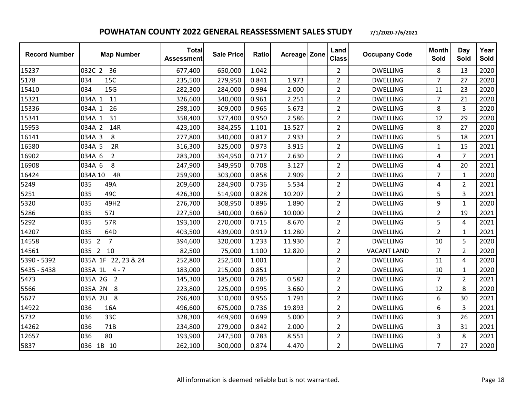| <b>Record Number</b> | <b>Map Number</b>         | <b>Total</b><br><b>Assessment</b> | <b>Sale Price</b> | Ratio | Acreage Zone | Land<br><b>Class</b> | <b>Occupany Code</b> | <b>Month</b><br>Sold | Day<br>Sold    | Year<br>Sold |
|----------------------|---------------------------|-----------------------------------|-------------------|-------|--------------|----------------------|----------------------|----------------------|----------------|--------------|
| 15237                | 032C 2<br>36              | 677,400                           | 650,000           | 1.042 |              | $\overline{2}$       | <b>DWELLING</b>      | 8                    | 13             | 2020         |
| 5178                 | 034<br>15C                | 235,500                           | 279,950           | 0.841 | 1.973        | $\overline{2}$       | <b>DWELLING</b>      | 7                    | 27             | 2020         |
| 15410                | 15G<br>034                | 282,300                           | 284,000           | 0.994 | 2.000        | $\overline{2}$       | <b>DWELLING</b>      | 11                   | 23             | 2020         |
| 15321                | 11<br>034A 1              | 326,600                           | 340,000           | 0.961 | 2.251        | $\overline{2}$       | <b>DWELLING</b>      | $\overline{7}$       | 21             | 2020         |
| 15336                | 26<br>034A 1              | 298,100                           | 309,000           | 0.965 | 5.673        | $\overline{2}$       | <b>DWELLING</b>      | 8                    | 3              | 2020         |
| 15341                | 034A 1<br>31              | 358,400                           | 377,400           | 0.950 | 2.586        | $\overline{2}$       | <b>DWELLING</b>      | 12                   | 29             | 2020         |
| 15953                | 034A 2<br>14R             | 423,100                           | 384,255           | 1.101 | 13.527       | $\overline{2}$       | <b>DWELLING</b>      | 8                    | 27             | 2020         |
| 16141                | 034A 3<br>8               | 277,800                           | 340,000           | 0.817 | 2.933        | $\overline{2}$       | <b>DWELLING</b>      | 5                    | 18             | 2021         |
| 16580                | 034A 5<br>2R              | 316,300                           | 325,000           | 0.973 | 3.915        | $\overline{2}$       | <b>DWELLING</b>      | 1                    | 15             | 2021         |
| 16902                | 034A 6<br>$\overline{2}$  | 283,200                           | 394,950           | 0.717 | 2.630        | $\overline{2}$       | <b>DWELLING</b>      | 4                    | $\overline{7}$ | 2021         |
| 16908                | 8<br>034A 6               | 247,900                           | 349,950           | 0.708 | 3.127        | $\overline{2}$       | <b>DWELLING</b>      | 4                    | 20             | 2021         |
| 16424                | 4R<br>034A 10             | 259,900                           | 303,000           | 0.858 | 2.909        | $\overline{2}$       | <b>DWELLING</b>      | $\overline{7}$       | 1              | 2020         |
| 5249                 | 035<br>49A                | 209,600                           | 284,900           | 0.736 | 5.534        | $\overline{2}$       | <b>DWELLING</b>      | 4                    | $\overline{2}$ | 2021         |
| 5251                 | 035<br>49C                | 426,300                           | 514,900           | 0.828 | 10.207       | $\overline{2}$       | <b>DWELLING</b>      | 5                    | 3              | 2021         |
| 5320                 | 035<br>49H2               | 276,700                           | 308,950           | 0.896 | 1.890        | $\overline{2}$       | <b>DWELLING</b>      | 9                    | $\mathbf{1}$   | 2020         |
| 5286                 | 035<br>57J                | 227,500                           | 340,000           | 0.669 | 10.000       | $\overline{2}$       | <b>DWELLING</b>      | $\overline{2}$       | 19             | 2021         |
| 5292                 | 035<br>57R                | 193,100                           | 270,000           | 0.715 | 8.670        | $\overline{2}$       | <b>DWELLING</b>      | 5                    | 4              | 2021         |
| 14207                | 035<br>64D                | 403,500                           | 439,000           | 0.919 | 11.280       | $\overline{2}$       | <b>DWELLING</b>      | $\overline{2}$       | $\mathbf{1}$   | 2021         |
| 14558                | 035 2<br>$\overline{7}$   | 394,600                           | 320,000           | 1.233 | 11.930       | $\overline{2}$       | <b>DWELLING</b>      | 10                   | 5              | 2020         |
| 14561                | 035 2<br>10               | 82,500                            | 75,000            | 1.100 | 12.820       | $\overline{2}$       | <b>VACANT LAND</b>   | 7                    | $\overline{2}$ | 2020         |
| 5390 - 5392          | 22, 23 & 24<br>035A 1F    | 252,800                           | 252,500           | 1.001 |              | $\overline{2}$       | <b>DWELLING</b>      | 11                   | 4              | 2020         |
| 5435 - 5438          | 035A 1L<br>$4 - 7$        | 183,000                           | 215,000           | 0.851 |              | $\overline{2}$       | <b>DWELLING</b>      | 10                   | $\mathbf{1}$   | 2020         |
| 5473                 | 035A 2G<br>$\overline{2}$ | 145,300                           | 185,000           | 0.785 | 0.582        | $\overline{2}$       | <b>DWELLING</b>      | $\overline{7}$       | $\overline{2}$ | 2021         |
| 5566                 | 035A 2N<br>8              | 223,800                           | 225,000           | 0.995 | 3.660        | $\overline{2}$       | <b>DWELLING</b>      | 12                   | 8              | 2020         |
| 5627                 | 8<br>035A 2U              | 296,400                           | 310,000           | 0.956 | 1.791        | $\overline{2}$       | <b>DWELLING</b>      | 6                    | 30             | 2021         |
| 14922                | 036<br>16A                | 496,600                           | 675,000           | 0.736 | 19.893       | $\overline{2}$       | <b>DWELLING</b>      | 6                    | 3              | 2021         |
| 5732                 | 33C<br>036                | 328,300                           | 469,900           | 0.699 | 5.000        | $\overline{2}$       | <b>DWELLING</b>      | 3                    | 26             | 2021         |
| 14262                | 71B<br>036                | 234,800                           | 279,000           | 0.842 | 2.000        | $\overline{2}$       | <b>DWELLING</b>      | 3                    | 31             | 2021         |
| 12657                | 80<br>036                 | 193,900                           | 247,500           | 0.783 | 8.551        | $\overline{2}$       | <b>DWELLING</b>      | 3                    | 8              | 2021         |
| 5837                 | 036 1B 10                 | 262,100                           | 300,000           | 0.874 | 4.470        | $\overline{2}$       | <b>DWELLING</b>      | $\overline{7}$       | 27             | 2020         |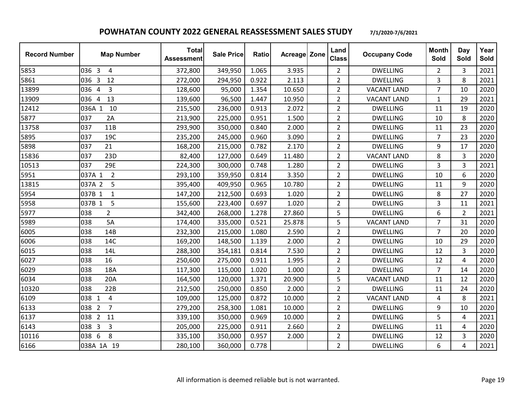| <b>Record Number</b> | <b>Map Number</b>           | <b>Total</b><br><b>Assessment</b> | <b>Sale Price</b> | Ratio | Acreage Zone | Land<br><b>Class</b> | <b>Occupany Code</b> | <b>Month</b><br>Sold | Day<br>Sold    | Year<br>Sold |
|----------------------|-----------------------------|-----------------------------------|-------------------|-------|--------------|----------------------|----------------------|----------------------|----------------|--------------|
| 5853                 | 036 3<br>4                  | 372,800                           | 349,950           | 1.065 | 3.935        | $\overline{2}$       | <b>DWELLING</b>      | $\overline{2}$       | 3              | 2021         |
| 5861                 | 036 3<br>12                 | 272,000                           | 294,950           | 0.922 | 2.113        | $\overline{2}$       | <b>DWELLING</b>      | 3                    | 8              | 2021         |
| 13899                | 3<br>036<br>$\overline{4}$  | 128,600                           | 95,000            | 1.354 | 10.650       | $\overline{2}$       | <b>VACANT LAND</b>   | $\overline{7}$       | 10             | 2020         |
| 13909                | 036<br>$\overline{4}$<br>13 | 139,600                           | 96,500            | 1.447 | 10.950       | $\overline{2}$       | <b>VACANT LAND</b>   | $\mathbf{1}$         | 29             | 2021         |
| 12412                | 036A 1<br>10                | 215,500                           | 236,000           | 0.913 | 2.072        | $\overline{2}$       | <b>DWELLING</b>      | 11                   | 19             | 2020         |
| 5877                 | 037<br>2A                   | 213,900                           | 225,000           | 0.951 | 1.500        | $\overline{2}$       | <b>DWELLING</b>      | 10                   | 8              | 2020         |
| 13758                | 037<br>11B                  | 293,900                           | 350,000           | 0.840 | 2.000        | $\overline{2}$       | <b>DWELLING</b>      | 11                   | 23             | 2020         |
| 5895                 | 19C<br>037                  | 235,200                           | 245,000           | 0.960 | 3.090        | $\overline{2}$       | <b>DWELLING</b>      | $\overline{7}$       | 23             | 2020         |
| 5898                 | 037<br>21                   | 168,200                           | 215,000           | 0.782 | 2.170        | $\overline{2}$       | <b>DWELLING</b>      | 9                    | 17             | 2020         |
| 15836                | 23D<br>037                  | 82,400                            | 127,000           | 0.649 | 11.480       | $\overline{2}$       | <b>VACANT LAND</b>   | 8                    | 3              | 2020         |
| 10513                | 29E<br>037                  | 224,300                           | 300,000           | 0.748 | 1.280        | $\overline{2}$       | <b>DWELLING</b>      | 3                    | 3              | 2021         |
| 5951                 | $\overline{2}$<br>037A 1    | 293,100                           | 359,950           | 0.814 | 3.350        | $\overline{2}$       | <b>DWELLING</b>      | 10                   | 6              | 2020         |
| 13815                | 037A 2<br>5                 | 395,400                           | 409,950           | 0.965 | 10.780       | $\overline{2}$       | <b>DWELLING</b>      | 11                   | 9              | 2020         |
| 5954                 | 037B 1<br>$\mathbf{1}$      | 147,200                           | 212,500           | 0.693 | 1.020        | $\overline{2}$       | <b>DWELLING</b>      | 8                    | 27             | 2020         |
| 5958                 | 5<br>037B 1                 | 155,600                           | 223,400           | 0.697 | 1.020        | $\overline{2}$       | <b>DWELLING</b>      | 3                    | 11             | 2021         |
| 5977                 | $\overline{2}$<br>038       | 342,400                           | 268,000           | 1.278 | 27.860       | 5                    | <b>DWELLING</b>      | 6                    | $\overline{2}$ | 2021         |
| 5989                 | 5A<br>038                   | 174,400                           | 335,000           | 0.521 | 25.878       | 5                    | <b>VACANT LAND</b>   | $\overline{7}$       | 31             | 2020         |
| 6005                 | 038<br>14B                  | 232,300                           | 215,000           | 1.080 | 2.590        | $\overline{2}$       | <b>DWELLING</b>      | $\overline{7}$       | 20             | 2020         |
| 6006                 | 038<br>14C                  | 169,200                           | 148,500           | 1.139 | 2.000        | $\overline{2}$       | <b>DWELLING</b>      | 10                   | 29             | 2020         |
| 6015                 | 14L<br>038                  | 288,300                           | 354,181           | 0.814 | 7.530        | $\overline{2}$       | <b>DWELLING</b>      | 12                   | 3              | 2020         |
| 6027                 | 16<br>038                   | 250,600                           | 275,000           | 0.911 | 1.995        | $\overline{2}$       | <b>DWELLING</b>      | 12                   | 4              | 2020         |
| 6029                 | 18A<br>038                  | 117,300                           | 115,000           | 1.020 | 1.000        | $\overline{2}$       | <b>DWELLING</b>      | $\overline{7}$       | 14             | 2020         |
| 6034                 | 038<br>20A                  | 164,500                           | 120,000           | 1.371 | 20.900       | 5                    | <b>VACANT LAND</b>   | 11                   | 12             | 2020         |
| 10320                | 22B<br>038                  | 212,500                           | 250,000           | 0.850 | 2.000        | $\overline{2}$       | <b>DWELLING</b>      | 11                   | 24             | 2020         |
| 6109                 | $\overline{4}$<br>038 1     | 109,000                           | 125,000           | 0.872 | 10.000       | $\overline{2}$       | <b>VACANT LAND</b>   | 4                    | 8              | 2021         |
| 6133                 | $\overline{7}$<br>038 2     | 279,200                           | 258,300           | 1.081 | 10.000       | $\overline{2}$       | <b>DWELLING</b>      | 9                    | 10             | 2020         |
| 6137                 | $\overline{2}$<br>038<br>11 | 339,100                           | 350,000           | 0.969 | 10.000       | $\overline{2}$       | <b>DWELLING</b>      | 5                    | 4              | 2021         |
| 6143                 | 3<br>038 3                  | 205,000                           | 225,000           | 0.911 | 2.660        | $\overline{2}$       | <b>DWELLING</b>      | 11                   | 4              | 2020         |
| 10116                | 6<br>8<br>038               | 335,100                           | 350,000           | 0.957 | 2.000        | $\overline{2}$       | <b>DWELLING</b>      | 12                   | 3              | 2020         |
| 6166                 | 038A 1A 19                  | 280,100                           | 360,000           | 0.778 |              | $\overline{2}$       | <b>DWELLING</b>      | 6                    | 4              | 2021         |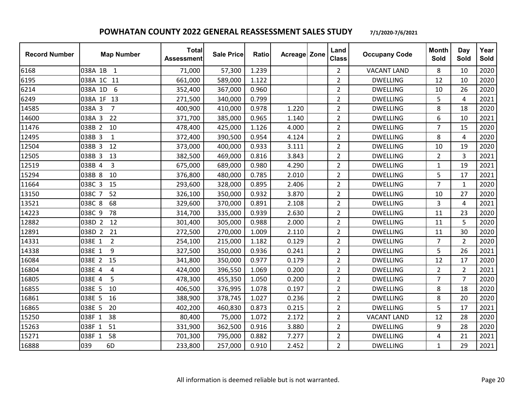| <b>Record Number</b> | <b>Map Number</b>        | <b>Total</b><br><b>Assessment</b> | <b>Sale Price</b> | Ratio | Acreage Zone | Land<br><b>Class</b> | <b>Occupany Code</b> | <b>Month</b><br>Sold | Day<br>Sold    | Year<br>Sold |
|----------------------|--------------------------|-----------------------------------|-------------------|-------|--------------|----------------------|----------------------|----------------------|----------------|--------------|
| 6168                 | 038A 1B 1                | 71,000                            | 57,300            | 1.239 |              | $\overline{2}$       | <b>VACANT LAND</b>   | 8                    | 10             | 2020         |
| 6195                 | 038A 1C 11               | 661,000                           | 589,000           | 1.122 |              | $\overline{2}$       | <b>DWELLING</b>      | 12                   | 10             | 2020         |
| 6214                 | 6<br>038A 1D             | 352,400                           | 367,000           | 0.960 |              | $\overline{2}$       | <b>DWELLING</b>      | 10                   | 26             | 2020         |
| 6249                 | 038A 1F 13               | 271,500                           | 340,000           | 0.799 |              | $\overline{2}$       | <b>DWELLING</b>      | 5                    | 4              | 2021         |
| 14585                | $\overline{7}$<br>038A 3 | 400,900                           | 410,000           | 0.978 | 1.220        | $\overline{2}$       | <b>DWELLING</b>      | 8                    | 18             | 2020         |
| 14600                | 038A 3<br>22             | 371,700                           | 385,000           | 0.965 | 1.140        | $\overline{2}$       | <b>DWELLING</b>      | 6                    | 10             | 2021         |
| 11476                | 10<br>038B 2             | 478,400                           | 425,000           | 1.126 | 4.000        | $\overline{2}$       | <b>DWELLING</b>      | $\overline{7}$       | 15             | 2020         |
| 12495                | 038B 3<br>$\mathbf{1}$   | 372,400                           | 390,500           | 0.954 | 4.124        | $\overline{2}$       | <b>DWELLING</b>      | 8                    | 4              | 2020         |
| 12504                | 038B 3<br>12             | 373,000                           | 400,000           | 0.933 | 3.111        | $\overline{2}$       | <b>DWELLING</b>      | 10                   | 19             | 2020         |
| 12505                | 038B 3<br>13             | 382,500                           | 469,000           | 0.816 | 3.843        | $\overline{2}$       | <b>DWELLING</b>      | $\overline{2}$       | $\overline{3}$ | 2021         |
| 12519                | 3<br>038B 4              | 675,000                           | 689,000           | 0.980 | 4.290        | $\overline{2}$       | <b>DWELLING</b>      | 1                    | 19             | 2021         |
| 15294                | 10<br>038B 8             | 376,800                           | 480,000           | 0.785 | 2.010        | $\overline{2}$       | <b>DWELLING</b>      | 5                    | 17             | 2021         |
| 11664                | 038C 3<br>15             | 293,600                           | 328,000           | 0.895 | 2.406        | $\overline{2}$       | <b>DWELLING</b>      | $\overline{7}$       | $\mathbf{1}$   | 2020         |
| 13150                | 52<br>038C 7             | 326,100                           | 350,000           | 0.932 | 3.870        | $\overline{2}$       | <b>DWELLING</b>      | 10                   | 27             | 2020         |
| 13521                | 038C 8<br>68             | 329,600                           | 370,000           | 0.891 | 2.108        | $\overline{2}$       | <b>DWELLING</b>      | 3                    | 4              | 2021         |
| 14223                | 038C 9<br>78             | 314,700                           | 335,000           | 0.939 | 2.630        | $\overline{2}$       | <b>DWELLING</b>      | 11                   | 23             | 2020         |
| 12882                | 038D 2<br>12             | 301,400                           | 305,000           | 0.988 | 2.000        | $\overline{2}$       | <b>DWELLING</b>      | 11                   | 5              | 2020         |
| 12891                | 038D 2 21                | 272,500                           | 270,000           | 1.009 | 2.110        | $\overline{2}$       | <b>DWELLING</b>      | 11                   | 30             | 2020         |
| 14331                | $\overline{2}$<br>038E 1 | 254,100                           | 215,000           | 1.182 | 0.129        | $\overline{2}$       | <b>DWELLING</b>      | $\overline{7}$       | $\overline{2}$ | 2020         |
| 14338                | 038E 1<br>9              | 327,500                           | 350,000           | 0.936 | 0.241        | $\overline{2}$       | <b>DWELLING</b>      | 5                    | 26             | 2021         |
| 16084                | 038E 2<br>15             | 341,800                           | 350,000           | 0.977 | 0.179        | $\overline{2}$       | <b>DWELLING</b>      | 12                   | 17             | 2020         |
| 16804                | 038E 4<br>$\sqrt{4}$     | 424,000                           | 396,550           | 1.069 | 0.200        | $\overline{2}$       | <b>DWELLING</b>      | $\overline{2}$       | $\overline{2}$ | 2021         |
| 16805                | 038E 4<br>5              | 478,300                           | 455,350           | 1.050 | 0.200        | $\overline{2}$       | <b>DWELLING</b>      | $\overline{7}$       | $\overline{7}$ | 2020         |
| 16855                | 038E 5<br>10             | 406,500                           | 376,995           | 1.078 | 0.197        | $\overline{2}$       | <b>DWELLING</b>      | 8                    | 18             | 2020         |
| 16861                | 038E 5<br>16             | 388,900                           | 378,745           | 1.027 | 0.236        | $\overline{2}$       | <b>DWELLING</b>      | 8                    | 20             | 2020         |
| 16865                | 20<br>038E 5             | 402,200                           | 460,830           | 0.873 | 0.215        | $\overline{2}$       | <b>DWELLING</b>      | 5                    | 17             | 2021         |
| 15250                | 038F 1<br>38             | 80,400                            | 75,000            | 1.072 | 2.172        | $\overline{2}$       | <b>VACANT LAND</b>   | 12                   | 28             | 2020         |
| 15263                | 51<br>038F 1             | 331,900                           | 362,500           | 0.916 | 3.880        | $\overline{2}$       | <b>DWELLING</b>      | 9                    | 28             | 2020         |
| 15271                | 58<br>038F 1             | 701,300                           | 795,000           | 0.882 | 7.277        | $\overline{2}$       | <b>DWELLING</b>      | 4                    | 21             | 2021         |
| 16888                | 039<br>6D                | 233,800                           | 257,000           | 0.910 | 2.452        | $\overline{2}$       | <b>DWELLING</b>      | $\mathbf{1}$         | 29             | 2021         |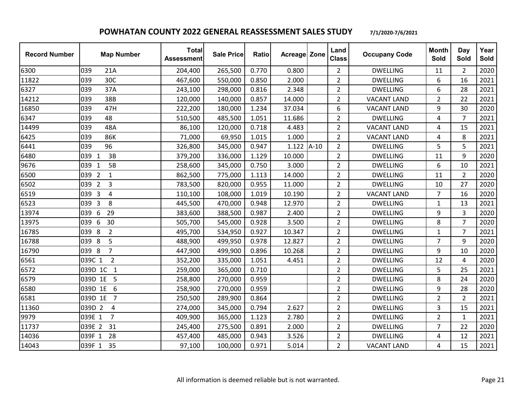| <b>Record Number</b> | <b>Map Number</b>                   | <b>Total</b><br><b>Assessment</b> | <b>Sale Price</b> | Ratio | <b>Acreage Zone</b> | Land<br><b>Class</b> | <b>Occupany Code</b> | <b>Month</b><br>Sold | Day<br>Sold    | Year<br>Sold |
|----------------------|-------------------------------------|-----------------------------------|-------------------|-------|---------------------|----------------------|----------------------|----------------------|----------------|--------------|
| 6300                 | 039<br>21A                          | 204,400                           | 265,500           | 0.770 | 0.800               | $\overline{2}$       | <b>DWELLING</b>      | 11                   | $\overline{2}$ | 2020         |
| 11822                | 039<br>30C                          | 467,600                           | 550,000           | 0.850 | 2.000               | $\overline{2}$       | <b>DWELLING</b>      | 6                    | 16             | 2021         |
| 6327                 | 37A<br>039                          | 243,100                           | 298,000           | 0.816 | 2.348               | $\overline{2}$       | <b>DWELLING</b>      | 6                    | 28             | 2021         |
| 14212                | 38B<br>039                          | 120,000                           | 140,000           | 0.857 | 14.000              | $\overline{2}$       | <b>VACANT LAND</b>   | 2                    | 22             | 2021         |
| 16850                | 039<br>47H                          | 222,200                           | 180,000           | 1.234 | 37.034              | 6                    | <b>VACANT LAND</b>   | 9                    | 30             | 2020         |
| 6347                 | 48<br>039                           | 510,500                           | 485,500           | 1.051 | 11.686              | $\overline{2}$       | <b>DWELLING</b>      | 4                    | $\overline{7}$ | 2021         |
| 14499                | 039<br>48A                          | 86,100                            | 120,000           | 0.718 | 4.483               | $\overline{2}$       | <b>VACANT LAND</b>   | 4                    | 15             | 2021         |
| 6425                 | 86K<br>039                          | 71,000                            | 69,950            | 1.015 | 1.000               | $\overline{2}$       | <b>VACANT LAND</b>   | 4                    | 8              | 2021         |
| 6441                 | 039<br>96                           | 326,800                           | 345,000           | 0.947 | $1.122$ A-10        | $\overline{2}$       | <b>DWELLING</b>      | 5                    | 5              | 2021         |
| 6480                 | 039<br>3B<br>$\mathbf{1}$           | 379,200                           | 336,000           | 1.129 | 10.000              | $\overline{2}$       | <b>DWELLING</b>      | 11                   | 9              | 2020         |
| 9676                 | 5B<br>039<br>$\mathbf{1}$           | 258,600                           | 345,000           | 0.750 | 3.000               | $\overline{2}$       | <b>DWELLING</b>      | 6                    | 10             | 2021         |
| 6500                 | 039 2<br>$\mathbf{1}$               | 862,500                           | 775,000           | 1.113 | 14.000              | $\overline{2}$       | <b>DWELLING</b>      | 11                   | $\overline{2}$ | 2020         |
| 6502                 | 039<br>$\overline{2}$<br>3          | 783,500                           | 820,000           | 0.955 | 11.000              | $\overline{2}$       | <b>DWELLING</b>      | 10                   | 27             | 2020         |
| 6519                 | $\overline{\mathbf{3}}$<br>4<br>039 | 110,100                           | 108,000           | 1.019 | 10.190              | $\overline{2}$       | <b>VACANT LAND</b>   | $\overline{7}$       | 16             | 2020         |
| 6523                 | 039 3<br>8                          | 445,500                           | 470,000           | 0.948 | 12.970              | $\overline{2}$       | <b>DWELLING</b>      | $\mathbf{1}$         | 13             | 2021         |
| 13974                | 6<br>29<br>039                      | 383,600                           | 388,500           | 0.987 | 2.400               | $\overline{2}$       | <b>DWELLING</b>      | 9                    | 3              | 2020         |
| 13975                | $6\,$<br>30<br>039                  | 505,700                           | 545,000           | 0.928 | 3.500               | $\overline{2}$       | <b>DWELLING</b>      | 8                    | $\overline{7}$ | 2020         |
| 16785                | $\overline{2}$<br>039<br>8          | 495,700                           | 534,950           | 0.927 | 10.347              | $\overline{2}$       | <b>DWELLING</b>      | 1                    | $\overline{7}$ | 2021         |
| 16788                | 8<br>5<br>039                       | 488,900                           | 499,950           | 0.978 | 12.827              | $\overline{2}$       | <b>DWELLING</b>      | $\overline{7}$       | 9              | 2020         |
| 16790                | 039 8<br>$\overline{7}$             | 447,900                           | 499,900           | 0.896 | 10.268              | $\overline{2}$       | <b>DWELLING</b>      | 9                    | 10             | 2020         |
| 6561                 | $\overline{2}$<br>039C 1            | 352,200                           | 335,000           | 1.051 | 4.451               | $\overline{2}$       | <b>DWELLING</b>      | 12                   | $\overline{4}$ | 2020         |
| 6572                 | 039D 1C<br>$\mathbf{1}$             | 259,000                           | 365,000           | 0.710 |                     | $\overline{2}$       | <b>DWELLING</b>      | 5                    | 25             | 2021         |
| 6579                 | 039D 1E 5                           | 258,800                           | 270,000           | 0.959 |                     | $\overline{2}$       | <b>DWELLING</b>      | 8                    | 24             | 2020         |
| 6580                 | 039D 1E<br>6                        | 258,900                           | 270,000           | 0.959 |                     | $\overline{2}$       | <b>DWELLING</b>      | 9                    | 28             | 2020         |
| 6581                 | 039D 1E 7                           | 250,500                           | 289,900           | 0.864 |                     | $\overline{2}$       | <b>DWELLING</b>      | $\overline{2}$       | $\overline{2}$ | 2021         |
| 11360                | 039D 2<br>4                         | 274,000                           | 345,000           | 0.794 | 2.627               | $\overline{2}$       | <b>DWELLING</b>      | 3                    | 15             | 2021         |
| 9979                 | 039E 1<br>$\overline{7}$            | 409,900                           | 365,000           | 1.123 | 2.780               | $\overline{2}$       | <b>DWELLING</b>      | $\overline{2}$       | $\mathbf{1}$   | 2021         |
| 11737                | 31<br>039E 2                        | 245,400                           | 275,500           | 0.891 | 2.000               | $\overline{2}$       | <b>DWELLING</b>      | $\overline{7}$       | 22             | 2020         |
| 14036                | 28<br>039F 1                        | 457,400                           | 485,000           | 0.943 | 3.526               | $\overline{2}$       | <b>DWELLING</b>      | 4                    | 12             | 2021         |
| 14043                | 039F 1 35                           | 97,100                            | 100,000           | 0.971 | 5.014               | $\overline{2}$       | <b>VACANT LAND</b>   | 4                    | 15             | 2021         |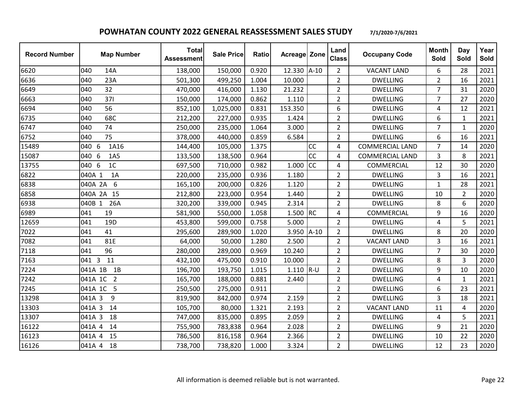| <b>Record Number</b> | <b>Map Number</b>         | <b>Total</b><br><b>Assessment</b> | <b>Sale Price</b> | <b>Ratio</b> | <b>Acreage Zone</b> |           | Land<br><b>Class</b> | <b>Occupany Code</b>   | <b>Month</b><br>Sold | Day<br>Sold    | Year<br>Sold |
|----------------------|---------------------------|-----------------------------------|-------------------|--------------|---------------------|-----------|----------------------|------------------------|----------------------|----------------|--------------|
| 6620                 | 040<br>14A                | 138,000                           | 150,000           | 0.920        | 12.330 A-10         |           | $\overline{2}$       | <b>VACANT LAND</b>     | 6                    | 28             | 2021         |
| 6636                 | 040<br>23A                | 501,300                           | 499,250           | 1.004        | 10.000              |           | $\overline{2}$       | <b>DWELLING</b>        | $\overline{2}$       | 16             | 2021         |
| 6649                 | 32<br>040                 | 470,000                           | 416,000           | 1.130        | 21.232              |           | $\overline{2}$       | <b>DWELLING</b>        | $\overline{7}$       | 31             | 2020         |
| 6663                 | 371<br>040                | 150,000                           | 174,000           | 0.862        | 1.110               |           | $\overline{2}$       | <b>DWELLING</b>        | $\overline{7}$       | 27             | 2020         |
| 6694                 | 56<br>040                 | 852,100                           | 1,025,000         | 0.831        | 153.350             |           | 6                    | <b>DWELLING</b>        | 4                    | 12             | 2021         |
| 6735                 | 68C<br>040                | 212,200                           | 227,000           | 0.935        | 1.424               |           | $\overline{2}$       | <b>DWELLING</b>        | 6                    | $\mathbf{1}$   | 2021         |
| 6747                 | 040<br>74                 | 250,000                           | 235,000           | 1.064        | 3.000               |           | $\overline{2}$       | <b>DWELLING</b>        | $\overline{7}$       | $\mathbf{1}$   | 2020         |
| 6752                 | 75<br>040                 | 378,000                           | 440,000           | 0.859        | 6.584               |           | $\overline{2}$       | <b>DWELLING</b>        | 6                    | 16             | 2021         |
| 15489                | 040 6<br>1A16             | 144,400                           | 105,000           | 1.375        |                     | <b>CC</b> | 4                    | <b>COMMERCIAL LAND</b> | $\overline{7}$       | 14             | 2020         |
| 15087                | 040 6<br>1A5              | 133,500                           | 138,500           | 0.964        |                     | CC        | 4                    | <b>COMMERCIAL LAND</b> | 3                    | 8              | 2021         |
| 13755                | 1 <sub>C</sub><br>040 6   | 697,500                           | 710,000           | 0.982        | 1.000               | CC        | 4                    | COMMERCIAL             | 12                   | 30             | 2020         |
| 6822                 | 1A<br>040A 1              | 220,000                           | 235,000           | 0.936        | 1.180               |           | $\overline{2}$       | <b>DWELLING</b>        | 3                    | 16             | 2021         |
| 6838                 | 040A 2A<br>6              | 165,100                           | 200,000           | 0.826        | 1.120               |           | $\overline{2}$       | <b>DWELLING</b>        | $\mathbf{1}$         | 28             | 2021         |
| 6858                 | 040A 2A 15                | 212,800                           | 223,000           | 0.954        | 1.440               |           | $\overline{2}$       | <b>DWELLING</b>        | 10                   | $\overline{2}$ | 2020         |
| 6938                 | 26A<br>040B 1             | 320,200                           | 339,000           | 0.945        | 2.314               |           | $\overline{2}$       | <b>DWELLING</b>        | 8                    | 6              | 2020         |
| 6989                 | 19<br>041                 | 581,900                           | 550,000           | 1.058        | 1.500 RC            |           | 4                    | COMMERCIAL             | 9                    | 16             | 2020         |
| 12659                | 041<br>19 <sub>D</sub>    | 453,800                           | 599,000           | 0.758        | 5.000               |           | $\overline{2}$       | <b>DWELLING</b>        | 4                    | 5              | 2021         |
| 7022                 | 041<br>41                 | 295,600                           | 289,900           | 1.020        | 3.950               | $A-10$    | $\overline{2}$       | <b>DWELLING</b>        | 8                    | 20             | 2020         |
| 7082                 | 041<br>81E                | 64,000                            | 50,000            | 1.280        | 2.500               |           | $\overline{2}$       | <b>VACANT LAND</b>     | 3                    | 16             | 2021         |
| 7118                 | 96<br>041                 | 280,000                           | 289,000           | 0.969        | 10.240              |           | $\overline{2}$       | <b>DWELLING</b>        | $\overline{7}$       | 30             | 2020         |
| 7163                 | 11<br>041 3               | 432,100                           | 475,000           | 0.910        | 10.000              |           | $\overline{2}$       | <b>DWELLING</b>        | 8                    | $\overline{3}$ | 2020         |
| 7224                 | 041A 1B<br>1B             | 196,700                           | 193,750           | 1.015        | $1.110$ R-U         |           | $\overline{2}$       | <b>DWELLING</b>        | 9                    | 10             | 2020         |
| 7242                 | 041A 1C<br>$\overline{2}$ | 165,700                           | 188,000           | 0.881        | 2.440               |           | $\overline{2}$       | <b>DWELLING</b>        | 4                    | $\mathbf{1}$   | 2021         |
| 7245                 | 041A 1C 5                 | 250,500                           | 275,000           | 0.911        |                     |           | $\overline{2}$       | <b>DWELLING</b>        | 6                    | 23             | 2021         |
| 13298                | 041A 3<br>9               | 819,900                           | 842,000           | 0.974        | 2.159               |           | $\overline{2}$       | <b>DWELLING</b>        | 3                    | 18             | 2021         |
| 13303                | 041A 3<br>14              | 105,700                           | 80,000            | 1.321        | 2.193               |           | $\overline{2}$       | <b>VACANT LAND</b>     | 11                   | 4              | 2020         |
| 13307                | 041A 3<br>18              | 747,000                           | 835,000           | 0.895        | 2.059               |           | $\overline{2}$       | <b>DWELLING</b>        | 4                    | 5              | 2021         |
| 16122                | 041A 4<br>14              | 755,900                           | 783,838           | 0.964        | 2.028               |           | $\overline{2}$       | <b>DWELLING</b>        | 9                    | 21             | 2020         |
| 16123                | 15<br>041A 4              | 786,500                           | 816,158           | 0.964        | 2.366               |           | $\overline{2}$       | <b>DWELLING</b>        | 10                   | 22             | 2020         |
| 16126                | 041A 4 18                 | 738,700                           | 738,820           | 1.000        | 3.324               |           | $\overline{2}$       | <b>DWELLING</b>        | 12                   | 23             | 2020         |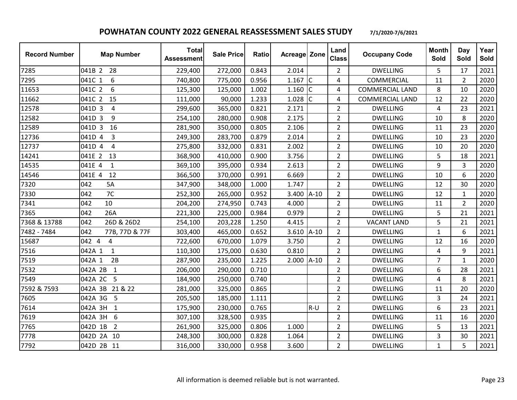| <b>Record Number</b> | <b>Map Number</b>         | <b>Total</b><br><b>Assessment</b> | <b>Sale Price</b> | Ratio | Acreage Zone |           | Land<br><b>Class</b> | <b>Occupany Code</b>   | <b>Month</b><br>Sold | Day<br>Sold    | Year<br>Sold |
|----------------------|---------------------------|-----------------------------------|-------------------|-------|--------------|-----------|----------------------|------------------------|----------------------|----------------|--------------|
| 7285                 | 041B 2<br>28              | 229,400                           | 272,000           | 0.843 | 2.014        |           | $\overline{2}$       | <b>DWELLING</b>        | 5                    | 17             | 2021         |
| 7295                 | 041C 1<br>$6\,$           | 740,800                           | 775,000           | 0.956 | $1.167$ C    |           | 4                    | COMMERCIAL             | 11                   | $\overline{2}$ | 2020         |
| 11653                | 6<br>041C 2               | 125,300                           | 125,000           | 1.002 | 1.160        | <b>IC</b> | 4                    | <b>COMMERCIAL LAND</b> | 8                    | 10             | 2020         |
| 11662                | 15<br>041C 2              | 111,000                           | 90,000            | 1.233 | 1.028        | IC        | 4                    | <b>COMMERCIAL LAND</b> | 12                   | 22             | 2020         |
| 12578                | 041D 3<br>4               | 299,600                           | 365,000           | 0.821 | 2.171        |           | $\overline{2}$       | <b>DWELLING</b>        | 4                    | 23             | 2021         |
| 12582                | 9<br>041D 3               | 254,100                           | 280,000           | 0.908 | 2.175        |           | $\overline{2}$       | <b>DWELLING</b>        | 10                   | 8              | 2020         |
| 12589                | 16<br>041D 3              | 281,900                           | 350,000           | 0.805 | 2.106        |           | $\overline{2}$       | <b>DWELLING</b>        | 11                   | 23             | 2020         |
| 12736                | 041D 4<br>3               | 249,300                           | 283,700           | 0.879 | 2.014        |           | $\overline{2}$       | <b>DWELLING</b>        | 10                   | 23             | 2020         |
| 12737                | 041D 4<br>$\overline{4}$  | 275,800                           | 332,000           | 0.831 | 2.002        |           | $\overline{2}$       | <b>DWELLING</b>        | 10                   | 20             | 2020         |
| 14241                | 041E 2<br>13              | 368,900                           | 410,000           | 0.900 | 3.756        |           | $\overline{2}$       | <b>DWELLING</b>        | 5                    | 18             | 2021         |
| 14535                | 041E 4<br>$\mathbf{1}$    | 369,100                           | 395,000           | 0.934 | 2.613        |           | $\overline{2}$       | <b>DWELLING</b>        | 9                    | 3              | 2020         |
| 14546                | 12<br>041E 4              | 366,500                           | 370,000           | 0.991 | 6.669        |           | $\overline{2}$       | <b>DWELLING</b>        | 10                   | 6              | 2020         |
| 7320                 | 042<br>5A                 | 347,900                           | 348,000           | 1.000 | 1.747        |           | $\overline{2}$       | <b>DWELLING</b>        | 12                   | 30             | 2020         |
| 7330                 | 7C<br>042                 | 252,300                           | 265,000           | 0.952 | 3.400 A-10   |           | $\overline{2}$       | <b>DWELLING</b>        | 12                   | $\mathbf{1}$   | 2020         |
| 7341                 | 10<br>042                 | 204,200                           | 274,950           | 0.743 | 4.000        |           | $\overline{2}$       | <b>DWELLING</b>        | 11                   | $\overline{2}$ | 2020         |
| 7365                 | 042<br>26A                | 221,300                           | 225,000           | 0.984 | 0.979        |           | $\overline{2}$       | <b>DWELLING</b>        | 5                    | 21             | 2021         |
| 7368 & 13788         | 26D & 26D2<br>042         | 254,100                           | 203,228           | 1.250 | 4.415        |           | $\overline{2}$       | <b>VACANT LAND</b>     | 5                    | 21             | 2021         |
| 7482 - 7484          | 042<br>77B, 77D & 77F     | 303,400                           | 465,000           | 0.652 | $3.610$ A-10 |           | $\overline{2}$       | <b>DWELLING</b>        | $\mathbf{1}$         | 6              | 2021         |
| 15687                | 042 4<br>4                | 722,600                           | 670,000           | 1.079 | 3.750        |           | $\overline{2}$       | <b>DWELLING</b>        | 12                   | 16             | 2020         |
| 7516                 | 042A 1<br>$\mathbf{1}$    | 110,300                           | 175,000           | 0.630 | 0.810        |           | $\overline{2}$       | <b>DWELLING</b>        | 4                    | 9              | 2021         |
| 7519                 | 2B<br>042A 1              | 287,900                           | 235,000           | 1.225 | 2.000 A-10   |           | $\overline{2}$       | <b>DWELLING</b>        | $\overline{7}$       | $\mathbf{1}$   | 2020         |
| 7532                 | 042A 2B<br>$\mathbf{1}$   | 206,000                           | 290,000           | 0.710 |              |           | $\overline{2}$       | <b>DWELLING</b>        | 6                    | 28             | 2021         |
| 7549                 | 042A 2C 5                 | 184,900                           | 250,000           | 0.740 |              |           | $\overline{2}$       | <b>DWELLING</b>        | 4                    | 8              | 2021         |
| 7592 & 7593          | 042A 3B<br>21 & 22        | 281,000                           | 325,000           | 0.865 |              |           | $\overline{2}$       | <b>DWELLING</b>        | 11                   | 20             | 2020         |
| 7605                 | 5<br>042A 3G              | 205,500                           | 185,000           | 1.111 |              |           | $\overline{2}$       | <b>DWELLING</b>        | 3                    | 24             | 2021         |
| 7614                 | 042A 3H<br>$\mathbf{1}$   | 175,900                           | 230,000           | 0.765 |              | $R-U$     | $\overline{2}$       | <b>DWELLING</b>        | 6                    | 23             | 2021         |
| 7619                 | 042A 3H<br>6              | 307,100                           | 328,500           | 0.935 |              |           | $\overline{2}$       | <b>DWELLING</b>        | 11                   | 16             | 2020         |
| 7765                 | 042D 1B<br>$\overline{2}$ | 261,900                           | 325,000           | 0.806 | 1.000        |           | $\overline{2}$       | <b>DWELLING</b>        | 5                    | 13             | 2021         |
| 7778                 | 042D 2A 10                | 248,300                           | 300,000           | 0.828 | 1.064        |           | $\overline{2}$       | <b>DWELLING</b>        | 3                    | 30             | 2021         |
| 7792                 | 042D 2B 11                | 316,000                           | 330,000           | 0.958 | 3.600        |           | $\overline{2}$       | <b>DWELLING</b>        | $\mathbf{1}$         | 5              | 2021         |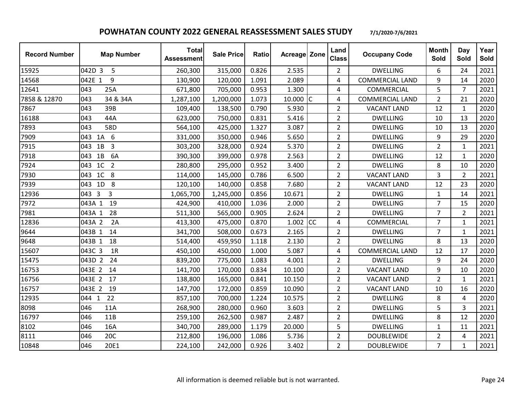| <b>Record Number</b> | <b>Map Number</b>                   | <b>Total</b><br><b>Assessment</b> | <b>Sale Price</b> | <b>Ratio</b> | Acreage Zone |    | Land<br><b>Class</b> | <b>Occupany Code</b>   | <b>Month</b><br>Sold | Day<br>Sold    | Year<br>Sold |
|----------------------|-------------------------------------|-----------------------------------|-------------------|--------------|--------------|----|----------------------|------------------------|----------------------|----------------|--------------|
| 15925                | 042D 3<br>5                         | 260,300                           | 315,000           | 0.826        | 2.535        |    | $\overline{2}$       | <b>DWELLING</b>        | 6                    | 24             | 2021         |
| 14568                | 042E 1<br>9                         | 130,900                           | 120,000           | 1.091        | 2.089        |    | 4                    | <b>COMMERCIAL LAND</b> | 9                    | 14             | 2020         |
| 12641                | 043<br>25A                          | 671,800                           | 705,000           | 0.953        | 1.300        |    | 4                    | COMMERCIAL             | 5                    | $\overline{7}$ | 2021         |
| 7858 & 12870         | 34 & 34A<br>043                     | 1,287,100                         | 1,200,000         | 1.073        | $10.000$ C   |    | 4                    | <b>COMMERCIAL LAND</b> | $\overline{2}$       | 21             | 2020         |
| 7867                 | 043<br>39B                          | 109,400                           | 138,500           | 0.790        | 5.930        |    | $\overline{2}$       | <b>VACANT LAND</b>     | 12                   | $\mathbf{1}$   | 2020         |
| 16188                | 043<br>44A                          | 623,000                           | 750,000           | 0.831        | 5.416        |    | $\overline{2}$       | <b>DWELLING</b>        | 10                   | 13             | 2020         |
| 7893                 | 043<br>58D                          | 564,100                           | 425,000           | 1.327        | 3.087        |    | $\overline{2}$       | <b>DWELLING</b>        | 10                   | 13             | 2020         |
| 7909                 | 043 1A 6                            | 331,000                           | 350,000           | 0.946        | 5.650        |    | $\overline{2}$       | <b>DWELLING</b>        | 9                    | 29             | 2020         |
| 7915                 | $1B$ 3<br>043                       | 303,200                           | 328,000           | 0.924        | 5.370        |    | $\overline{2}$       | <b>DWELLING</b>        | $\overline{2}$       | $\mathbf{1}$   | 2021         |
| 7918                 | 6A<br>043<br>1B                     | 390,300                           | 399,000           | 0.978        | 2.563        |    | $\overline{2}$       | <b>DWELLING</b>        | 12                   | $\mathbf{1}$   | 2020         |
| 7924                 | 043 1C 2                            | 280,800                           | 295,000           | 0.952        | 3.400        |    | $\overline{2}$       | <b>DWELLING</b>        | 8                    | 10             | 2020         |
| 7930                 | 043 1C 8                            | 114,000                           | 145,000           | 0.786        | 6.500        |    | $\overline{2}$       | <b>VACANT LAND</b>     | 3                    | $\overline{2}$ | 2021         |
| 7939                 | 1D 8<br>043                         | 120,100                           | 140,000           | 0.858        | 7.680        |    | $\overline{2}$       | <b>VACANT LAND</b>     | 12                   | 23             | 2020         |
| 12936                | $\overline{\mathbf{3}}$<br>3<br>043 | 1,065,700                         | 1,245,000         | 0.856        | 10.671       |    | $\overline{2}$       | <b>DWELLING</b>        | $\mathbf{1}$         | 14             | 2021         |
| 7972                 | 043A 1<br>19                        | 424,900                           | 410,000           | 1.036        | 2.000        |    | $\overline{2}$       | <b>DWELLING</b>        | $\overline{7}$       | 15             | 2020         |
| 7981                 | 28<br>043A 1                        | 511,300                           | 565,000           | 0.905        | 2.624        |    | $\overline{2}$       | <b>DWELLING</b>        | $\overline{7}$       | $\overline{2}$ | 2021         |
| 12836                | 043A 2<br>2A                        | 413,300                           | 475,000           | 0.870        | 1.002        | cc | 4                    | COMMERCIAL             | $\overline{7}$       | $\mathbf{1}$   | 2021         |
| 9644                 | 14<br>043B 1                        | 341,700                           | 508,000           | 0.673        | 2.165        |    | $\overline{2}$       | <b>DWELLING</b>        | $\overline{7}$       | $\mathbf{1}$   | 2021         |
| 9648                 | 18<br>043B 1                        | 514,400                           | 459,950           | 1.118        | 2.130        |    | $\overline{2}$       | <b>DWELLING</b>        | 8                    | 13             | 2020         |
| 15607                | 043C 3<br>1R                        | 450,100                           | 450,000           | 1.000        | 5.087        |    | 4                    | <b>COMMERCIAL LAND</b> | 12                   | 17             | 2020         |
| 15475                | 043D 2<br>24                        | 839,200                           | 775,000           | 1.083        | 4.001        |    | $\overline{2}$       | <b>DWELLING</b>        | 9                    | 24             | 2020         |
| 16753                | 14<br>043E 2                        | 141,700                           | 170,000           | 0.834        | 10.100       |    | $\overline{2}$       | <b>VACANT LAND</b>     | 9                    | 10             | 2020         |
| 16756                | 043E 2 17                           | 138,800                           | 165,000           | 0.841        | 10.150       |    | $\overline{2}$       | <b>VACANT LAND</b>     | $\overline{2}$       | $\mathbf{1}$   | 2021         |
| 16757                | 043E 2<br>19                        | 147,700                           | 172,000           | 0.859        | 10.090       |    | $\overline{2}$       | <b>VACANT LAND</b>     | 10                   | 16             | 2020         |
| 12935                | 22<br>044 1                         | 857,100                           | 700,000           | 1.224        | 10.575       |    | $\overline{2}$       | <b>DWELLING</b>        | 8                    | $\overline{4}$ | 2020         |
| 8098                 | 046<br>11A                          | 268,900                           | 280,000           | 0.960        | 3.603        |    | $\overline{2}$       | <b>DWELLING</b>        | 5                    | $\overline{3}$ | 2021         |
| 16797                | 046<br>11B                          | 259,100                           | 262,500           | 0.987        | 2.487        |    | $\overline{2}$       | <b>DWELLING</b>        | 8                    | 12             | 2020         |
| 8102                 | 046<br>16A                          | 340,700                           | 289,000           | 1.179        | 20.000       |    | 5                    | <b>DWELLING</b>        | $\mathbf{1}$         | 11             | 2021         |
| 8111                 | 046<br>20C                          | 212,800                           | 196,000           | 1.086        | 5.736        |    | $\overline{2}$       | <b>DOUBLEWIDE</b>      | $\overline{2}$       | 4              | 2021         |
| 10848                | 046<br>20E1                         | 224,100                           | 242,000           | 0.926        | 3.402        |    | $\overline{2}$       | <b>DOUBLEWIDE</b>      | $\overline{7}$       | $\mathbf{1}$   | 2021         |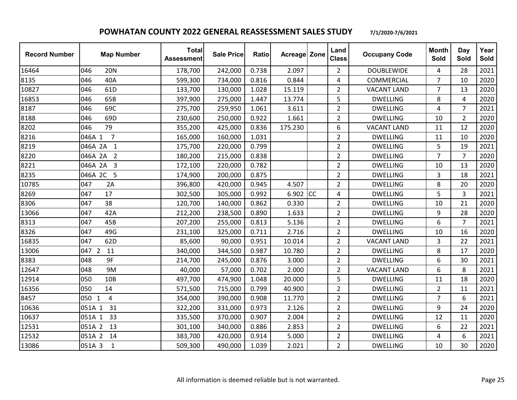| <b>Record Number</b> | <b>Map Number</b>         | <b>Total</b><br><b>Assessment</b> | <b>Sale Price</b> | Ratio | Acreage Zone |    | Land<br><b>Class</b> | <b>Occupany Code</b> | <b>Month</b><br>Sold | Day<br>Sold    | Year<br>Sold |
|----------------------|---------------------------|-----------------------------------|-------------------|-------|--------------|----|----------------------|----------------------|----------------------|----------------|--------------|
| 16464                | 046<br><b>20N</b>         | 178,700                           | 242,000           | 0.738 | 2.097        |    | $\overline{2}$       | <b>DOUBLEWIDE</b>    | $\overline{4}$       | 28             | 2021         |
| 8135                 | 046<br>40A                | 599,300                           | 734,000           | 0.816 | 0.844        |    | 4                    | COMMERCIAL           | $\overline{7}$       | 10             | 2020         |
| 10827                | 61 <sub>D</sub><br>046    | 133,700                           | 130,000           | 1.028 | 15.119       |    | $\overline{2}$       | <b>VACANT LAND</b>   | $\overline{7}$       | 13             | 2020         |
| 16853                | 046<br>65B                | 397,900                           | 275,000           | 1.447 | 13.774       |    | 5                    | <b>DWELLING</b>      | 8                    | $\overline{4}$ | 2020         |
| 8187                 | 69C<br>046                | 275,700                           | 259,950           | 1.061 | 3.611        |    | $\overline{2}$       | <b>DWELLING</b>      | 4                    | 7              | 2021         |
| 8188                 | 046<br>69D                | 230,600                           | 250,000           | 0.922 | 1.661        |    | $\overline{2}$       | <b>DWELLING</b>      | 10                   | $\overline{2}$ | 2020         |
| 8202                 | 79<br>046                 | 355,200                           | 425,000           | 0.836 | 175.230      |    | 6                    | <b>VACANT LAND</b>   | 11                   | 12             | 2020         |
| 8216                 | $\overline{7}$<br>046A 1  | 165,000                           | 160,000           | 1.031 |              |    | $\overline{2}$       | <b>DWELLING</b>      | 11                   | 10             | 2020         |
| 8219                 | 046A 2A 1                 | 175,700                           | 220,000           | 0.799 |              |    | $\overline{2}$       | <b>DWELLING</b>      | 5                    | 19             | 2021         |
| 8220                 | 046A 2A<br>$\overline{2}$ | 180,200                           | 215,000           | 0.838 |              |    | $\overline{2}$       | <b>DWELLING</b>      | $\overline{7}$       | $\overline{7}$ | 2020         |
| 8221                 | 046A 2A 3                 | 172,100                           | 220,000           | 0.782 |              |    | $\overline{2}$       | <b>DWELLING</b>      | 10                   | 13             | 2020         |
| 8235                 | 046A 2C 5                 | 174,900                           | 200,000           | 0.875 |              |    | $\overline{2}$       | <b>DWELLING</b>      | 3                    | 18             | 2021         |
| 10785                | 047<br>2A                 | 396,800                           | 420,000           | 0.945 | 4.507        |    | $\overline{2}$       | <b>DWELLING</b>      | 8                    | 20             | 2020         |
| 8269                 | 047<br>17                 | 302,500                           | 305,000           | 0.992 | 6.902        | cc | 4                    | <b>DWELLING</b>      | 5                    | 3              | 2021         |
| 8306                 | 38<br>047                 | 120,700                           | 140,000           | 0.862 | 0.330        |    | $\overline{2}$       | <b>DWELLING</b>      | 10                   | 21             | 2020         |
| 13066                | 047<br>42A                | 212,200                           | 238,500           | 0.890 | 1.633        |    | $\overline{2}$       | <b>DWELLING</b>      | 9                    | 28             | 2020         |
| 8313                 | 047<br>45B                | 207,200                           | 255,000           | 0.813 | 5.136        |    | $\overline{2}$       | <b>DWELLING</b>      | 6                    | $\overline{7}$ | 2021         |
| 8326                 | 047<br>49G                | 231,100                           | 325,000           | 0.711 | 2.716        |    | $\overline{2}$       | <b>DWELLING</b>      | 10                   | 16             | 2020         |
| 16835                | 62D<br>047                | 85,600                            | 90,000            | 0.951 | 10.014       |    | $\overline{2}$       | <b>VACANT LAND</b>   | 3                    | 22             | 2021         |
| 13006                | 047 2<br>11               | 340,000                           | 344,500           | 0.987 | 10.780       |    | $\overline{2}$       | <b>DWELLING</b>      | 8                    | 17             | 2020         |
| 8383                 | 9F<br>048                 | 214,700                           | 245,000           | 0.876 | 3.000        |    | $\overline{2}$       | <b>DWELLING</b>      | 6                    | 30             | 2021         |
| 12647                | 9M<br>048                 | 40,000                            | 57,000            | 0.702 | 2.000        |    | $\overline{2}$       | <b>VACANT LAND</b>   | 6                    | 8              | 2021         |
| 12914                | 050<br>10B                | 497,700                           | 474,900           | 1.048 | 20.000       |    | 5                    | <b>DWELLING</b>      | 11                   | 18             | 2020         |
| 16356                | 14<br>050                 | 571,500                           | 715,000           | 0.799 | 40.900       |    | $\overline{2}$       | <b>DWELLING</b>      | $\overline{2}$       | 11             | 2021         |
| 8457                 | $\overline{4}$<br>050 1   | 354,000                           | 390,000           | 0.908 | 11.770       |    | $\overline{2}$       | <b>DWELLING</b>      | $\overline{7}$       | 6              | 2021         |
| 10636                | 31<br>051A 1              | 322,200                           | 331,000           | 0.973 | 2.126        |    | $\overline{2}$       | <b>DWELLING</b>      | 9                    | 24             | 2020         |
| 10637                | 051A 1<br>33              | 335,500                           | 370,000           | 0.907 | 2.004        |    | $\overline{2}$       | <b>DWELLING</b>      | 12                   | 11             | 2020         |
| 12531                | 051A 2<br>13              | 301,100                           | 340,000           | 0.886 | 2.853        |    | $\overline{2}$       | <b>DWELLING</b>      | 6                    | 22             | 2021         |
| 12532                | 051A 2<br>14              | 383,700                           | 420,000           | 0.914 | 5.000        |    | $\overline{2}$       | <b>DWELLING</b>      | 4                    | 6              | 2021         |
| 13086                | 051A 3<br>$\mathbf{1}$    | 509,300                           | 490,000           | 1.039 | 2.021        |    | $\overline{2}$       | <b>DWELLING</b>      | 10                   | 30             | 2020         |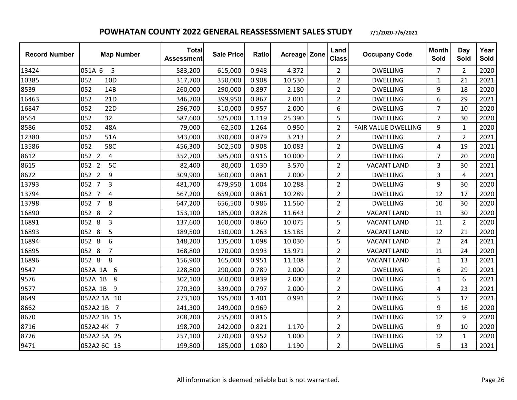| <b>Record Number</b> | <b>Map Number</b>          | <b>Total</b><br><b>Assessment</b> | <b>Sale Price</b> | Ratio | <b>Acreage Zone</b> | Land<br><b>Class</b> | <b>Occupany Code</b> | <b>Month</b><br>Sold | Day<br>Sold    | Year<br>Sold |
|----------------------|----------------------------|-----------------------------------|-------------------|-------|---------------------|----------------------|----------------------|----------------------|----------------|--------------|
| 13424                | 051A 6<br>5                | 583,200                           | 615,000           | 0.948 | 4.372               | $\overline{2}$       | <b>DWELLING</b>      | 7                    | $\overline{2}$ | 2020         |
| 10385                | 052<br>10 <sub>D</sub>     | 317,700                           | 350,000           | 0.908 | 10.530              | $\overline{2}$       | <b>DWELLING</b>      | $\mathbf{1}$         | 21             | 2021         |
| 8539                 | 052<br>14B                 | 260,000                           | 290,000           | 0.897 | 2.180               | $\overline{2}$       | <b>DWELLING</b>      | 9                    | 18             | 2020         |
| 16463                | 052<br>21D                 | 346,700                           | 399,950           | 0.867 | 2.001               | $\overline{2}$       | <b>DWELLING</b>      | 6                    | 29             | 2021         |
| 16847                | 052<br>22D                 | 296,700                           | 310,000           | 0.957 | 2.000               | 6                    | <b>DWELLING</b>      | 7                    | 10             | 2020         |
| 8564                 | 32<br>052                  | 587,600                           | 525,000           | 1.119 | 25.390              | 5                    | <b>DWELLING</b>      | $\overline{7}$       | 30             | 2020         |
| 8586                 | 052<br>48A                 | 79,000                            | 62,500            | 1.264 | 0.950               | $\overline{2}$       | FAIR VALUE DWELLING  | 9                    | $\mathbf{1}$   | 2020         |
| 12380                | 052<br>51A                 | 343,000                           | 390,000           | 0.879 | 3.213               | $\overline{2}$       | <b>DWELLING</b>      | $\overline{7}$       | $\overline{2}$ | 2021         |
| 13586                | 58C<br>052                 | 456,300                           | 502,500           | 0.908 | 10.083              | $\overline{2}$       | <b>DWELLING</b>      | 4                    | 19             | 2021         |
| 8612                 | 052 2<br>$\overline{4}$    | 352,700                           | 385,000           | 0.916 | 10.000              | $\overline{2}$       | <b>DWELLING</b>      | $\overline{7}$       | 20             | 2020         |
| 8615                 | 5C<br>052 2                | 82,400                            | 80,000            | 1.030 | 3.570               | $\overline{2}$       | <b>VACANT LAND</b>   | 3                    | 30             | 2021         |
| 8622                 | 052 2<br>9                 | 309,900                           | 360,000           | 0.861 | 2.000               | $\overline{2}$       | <b>DWELLING</b>      | 3                    | 4              | 2021         |
| 13793                | 052 7<br>3                 | 481,700                           | 479,950           | 1.004 | 10.288              | $\overline{2}$       | <b>DWELLING</b>      | 9                    | 30             | 2020         |
| 13794                | 052 7<br>$\overline{4}$    | 567,200                           | 659,000           | 0.861 | 10.289              | $\overline{2}$       | <b>DWELLING</b>      | 12                   | 17             | 2020         |
| 13798                | 052 7<br>8                 | 647,200                           | 656,500           | 0.986 | 11.560              | $\overline{2}$       | <b>DWELLING</b>      | 10                   | 30             | 2020         |
| 16890                | 052 8<br>$\overline{2}$    | 153,100                           | 185,000           | 0.828 | 11.643              | $\overline{2}$       | <b>VACANT LAND</b>   | 11                   | 30             | 2020         |
| 16891                | 052 8<br>3                 | 137,600                           | 160,000           | 0.860 | 10.075              | 5                    | <b>VACANT LAND</b>   | 11                   | $\overline{2}$ | 2020         |
| 16893                | 052 8<br>5                 | 189,500                           | 150,000           | 1.263 | 15.185              | $\overline{2}$       | <b>VACANT LAND</b>   | 12                   | 21             | 2020         |
| 16894                | 6<br>052 8                 | 148,200                           | 135,000           | 1.098 | 10.030              | 5                    | <b>VACANT LAND</b>   | $\overline{2}$       | 24             | 2021         |
| 16895                | 052 8<br>$\overline{7}$    | 168,800                           | 170,000           | 0.993 | 13.971              | $\overline{2}$       | <b>VACANT LAND</b>   | 11                   | 24             | 2020         |
| 16896                | 8<br>052 8                 | 156,900                           | 165,000           | 0.951 | 11.108              | $\overline{2}$       | <b>VACANT LAND</b>   | $\mathbf{1}$         | 13             | 2021         |
| 9547                 | 6<br>052A 1A               | 228,800                           | 290,000           | 0.789 | 2.000               | $\overline{2}$       | <b>DWELLING</b>      | 6                    | 29             | 2021         |
| 9576                 | 052A 1B<br>8               | 302,100                           | 360,000           | 0.839 | 2.000               | $\overline{2}$       | <b>DWELLING</b>      | $\mathbf{1}$         | 6              | 2021         |
| 9577                 | 052A 1B<br>9               | 270,300                           | 339,000           | 0.797 | 2.000               | $\overline{2}$       | <b>DWELLING</b>      | 4                    | 23             | 2021         |
| 8649                 | 052A2 1A 10                | 273,100                           | 195,000           | 1.401 | 0.991               | $\overline{2}$       | <b>DWELLING</b>      | 5                    | 17             | 2021         |
| 8662                 | $\overline{7}$<br>052A2 1B | 241,300                           | 249,000           | 0.969 |                     | $\overline{2}$       | <b>DWELLING</b>      | 9                    | 16             | 2020         |
| 8670                 | 052A2 1B<br>15             | 208,200                           | 255,000           | 0.816 |                     | $\overline{2}$       | <b>DWELLING</b>      | 12                   | 9              | 2020         |
| 8716                 | 052A2 4K<br>$\overline{7}$ | 198,700                           | 242,000           | 0.821 | 1.170               | $\overline{2}$       | <b>DWELLING</b>      | 9                    | 10             | 2020         |
| 8726                 | 052A2 5A 25                | 257,100                           | 270,000           | 0.952 | 1.000               | $\overline{2}$       | <b>DWELLING</b>      | 12                   | $\mathbf{1}$   | 2020         |
| 9471                 | 052A2 6C 13                | 199,800                           | 185,000           | 1.080 | 1.190               | $\overline{2}$       | <b>DWELLING</b>      | 5                    | 13             | 2021         |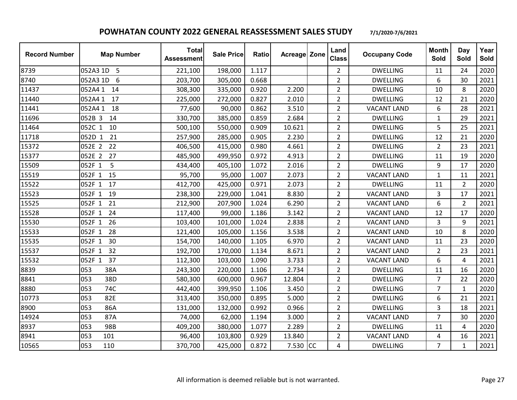| <b>Record Number</b> | <b>Map Number</b> | <b>Total</b><br><b>Assessment</b> | <b>Sale Price</b> | <b>Ratio</b> | Acreage Zone | Land<br><b>Class</b> | <b>Occupany Code</b> | <b>Month</b><br>Sold | Day<br>Sold    | Year<br>Sold |
|----------------------|-------------------|-----------------------------------|-------------------|--------------|--------------|----------------------|----------------------|----------------------|----------------|--------------|
| 8739                 | 052A3 1D<br>5     | 221,100                           | 198,000           | 1.117        |              | $\overline{2}$       | <b>DWELLING</b>      | 11                   | 24             | 2020         |
| 8740                 | 052A3 1D<br>6     | 203,700                           | 305,000           | 0.668        |              | $\overline{2}$       | <b>DWELLING</b>      | 6                    | 30             | 2021         |
| 11437                | 052A4 1<br>14     | 308,300                           | 335,000           | 0.920        | 2.200        | $\overline{2}$       | <b>DWELLING</b>      | 10                   | 8              | 2020         |
| 11440                | 052A41<br>17      | 225,000                           | 272,000           | 0.827        | 2.010        | $\overline{2}$       | <b>DWELLING</b>      | 12                   | 21             | 2020         |
| 11441                | 052A4 1<br>18     | 77,600                            | 90,000            | 0.862        | 3.510        | $\overline{2}$       | <b>VACANT LAND</b>   | 6                    | 28             | 2021         |
| 11696                | 052B 3<br>14      | 330,700                           | 385,000           | 0.859        | 2.684        | $\overline{2}$       | <b>DWELLING</b>      | $\mathbf{1}$         | 29             | 2021         |
| 11464                | 052C 1<br>10      | 500,100                           | 550,000           | 0.909        | 10.621       | $\overline{2}$       | <b>DWELLING</b>      | 5                    | 25             | 2021         |
| 11718                | 21<br>052D 1      | 257,900                           | 285,000           | 0.905        | 2.230        | $\overline{2}$       | <b>DWELLING</b>      | 12                   | 21             | 2020         |
| 15372                | 052E 2<br>22      | 406,500                           | 415,000           | 0.980        | 4.661        | $\overline{2}$       | <b>DWELLING</b>      | $\overline{2}$       | 23             | 2021         |
| 15377                | 052E 2<br>27      | 485,900                           | 499,950           | 0.972        | 4.913        | $\overline{2}$       | <b>DWELLING</b>      | 11                   | 19             | 2020         |
| 15509                | 052F 1<br>5       | 434,400                           | 405,100           | 1.072        | 2.016        | $\overline{2}$       | <b>DWELLING</b>      | 9                    | 17             | 2020         |
| 15519                | 052F 1<br>15      | 95,700                            | 95,000            | 1.007        | 2.073        | $\overline{2}$       | <b>VACANT LAND</b>   | $\mathbf{1}$         | 11             | 2021         |
| 15522                | 052F 1<br>17      | 412,700                           | 425,000           | 0.971        | 2.073        | $\overline{2}$       | <b>DWELLING</b>      | 11                   | $\overline{2}$ | 2020         |
| 15523                | 19<br>052F 1      | 238,300                           | 229,000           | 1.041        | 8.830        | $\overline{2}$       | <b>VACANT LAND</b>   | 3                    | 17             | 2021         |
| 15525                | 21<br>052F 1      | 212,900                           | 207,900           | 1.024        | 6.290        | $\overline{2}$       | <b>VACANT LAND</b>   | 6                    | $\overline{2}$ | 2021         |
| 15528                | 052F 1<br>24      | 117,400                           | 99,000            | 1.186        | 3.142        | $\overline{2}$       | <b>VACANT LAND</b>   | 12                   | 17             | 2020         |
| 15530                | 052F 1<br>26      | 103,400                           | 101,000           | 1.024        | 2.838        | $\overline{2}$       | <b>VACANT LAND</b>   | 3                    | 9              | 2021         |
| 15533                | 28<br>052F 1      | 121,400                           | 105,000           | 1.156        | 3.538        | $\overline{2}$       | <b>VACANT LAND</b>   | 10                   | 8              | 2020         |
| 15535                | 30<br>052F 1      | 154,700                           | 140,000           | 1.105        | 6.970        | $\overline{2}$       | <b>VACANT LAND</b>   | 11                   | 23             | 2020         |
| 15537                | 052F 1<br>32      | 192,700                           | 170,000           | 1.134        | 8.671        | $\overline{2}$       | <b>VACANT LAND</b>   | $\overline{2}$       | 23             | 2021         |
| 15532                | 052F 1<br>37      | 112,300                           | 103,000           | 1.090        | 3.733        | $\overline{2}$       | <b>VACANT LAND</b>   | 6                    | $\overline{4}$ | 2021         |
| 8839                 | 38A<br>053        | 243,300                           | 220,000           | 1.106        | 2.734        | $\overline{2}$       | <b>DWELLING</b>      | 11                   | 16             | 2020         |
| 8841                 | 053<br>38D        | 580,300                           | 600,000           | 0.967        | 12.804       | $\overline{2}$       | <b>DWELLING</b>      | $\overline{7}$       | 22             | 2020         |
| 8880                 | 74C<br>053        | 442,400                           | 399,950           | 1.106        | 3.450        | $\overline{2}$       | <b>DWELLING</b>      | $\overline{7}$       | $\mathbf{1}$   | 2020         |
| 10773                | 053<br>82E        | 313,400                           | 350,000           | 0.895        | 5.000        | $\overline{2}$       | <b>DWELLING</b>      | 6                    | 21             | 2021         |
| 8900                 | 86A<br>053        | 131,000                           | 132,000           | 0.992        | 0.966        | $\overline{2}$       | <b>DWELLING</b>      | 3                    | 18             | 2021         |
| 14924                | 053<br>87A        | 74,000                            | 62,000            | 1.194        | 3.000        | $\overline{2}$       | <b>VACANT LAND</b>   | $\overline{7}$       | 30             | 2020         |
| 8937                 | 053<br>98B        | 409,200                           | 380,000           | 1.077        | 2.289        | $\overline{2}$       | <b>DWELLING</b>      | 11                   | 4              | 2020         |
| 8941                 | 053<br>101        | 96,400                            | 103,800           | 0.929        | 13.840       | 2                    | <b>VACANT LAND</b>   | 4                    | 16             | 2021         |
| 10565                | 053<br>110        | 370,700                           | 425,000           | 0.872        | 7.530 CC     | 4                    | <b>DWELLING</b>      | $\overline{7}$       | $\mathbf{1}$   | 2021         |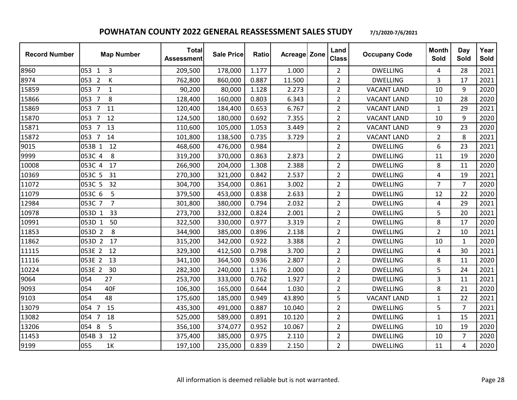| <b>Record Number</b> | <b>Map Number</b>                     | <b>Total</b><br><b>Assessment</b> | <b>Sale Price</b> | Ratio | <b>Acreage Zone</b> | Land<br><b>Class</b> | <b>Occupany Code</b> | <b>Month</b><br>Sold | Day<br>Sold    | Year<br>Sold |
|----------------------|---------------------------------------|-----------------------------------|-------------------|-------|---------------------|----------------------|----------------------|----------------------|----------------|--------------|
| 8960                 | 053 1<br>3                            | 209,500                           | 178,000           | 1.177 | 1.000               | $\overline{2}$       | <b>DWELLING</b>      | 4                    | 28             | 2021         |
| 8974                 | 053 2<br>К                            | 762,800                           | 860,000           | 0.887 | 11.500              | $\overline{2}$       | <b>DWELLING</b>      | 3                    | 17             | 2021         |
| 15859                | $\overline{7}$<br>053<br>$\mathbf{1}$ | 90,200                            | 80,000            | 1.128 | 2.273               | $\overline{2}$       | <b>VACANT LAND</b>   | 10                   | 9              | 2020         |
| 15866                | $\overline{7}$<br>8<br>053            | 128,400                           | 160,000           | 0.803 | 6.343               | $\overline{2}$       | <b>VACANT LAND</b>   | 10                   | 28             | 2020         |
| 15869                | 053 7<br>11                           | 120,400                           | 184,400           | 0.653 | 6.767               | $\overline{2}$       | <b>VACANT LAND</b>   | 1                    | 29             | 2021         |
| 15870                | $\overline{7}$<br>12<br>053           | 124,500                           | 180,000           | 0.692 | 7.355               | $\overline{2}$       | <b>VACANT LAND</b>   | 10                   | 9              | 2020         |
| 15871                | 13<br>053<br>$\overline{7}$           | 110,600                           | 105,000           | 1.053 | 3.449               | $\overline{2}$       | <b>VACANT LAND</b>   | 9                    | 23             | 2020         |
| 15872                | 053 7<br>14                           | 101,800                           | 138,500           | 0.735 | 3.729               | $\overline{2}$       | <b>VACANT LAND</b>   | $\overline{2}$       | 8              | 2021         |
| 9015                 | 053B 1<br>12                          | 468,600                           | 476,000           | 0.984 |                     | $\overline{2}$       | <b>DWELLING</b>      | 6                    | 23             | 2021         |
| 9999                 | 8<br>053C 4                           | 319,200                           | 370,000           | 0.863 | 2.873               | $\overline{2}$       | <b>DWELLING</b>      | 11                   | 19             | 2020         |
| 10008                | 053C 4<br>17                          | 266,900                           | 204,000           | 1.308 | 2.388               | $\overline{2}$       | <b>DWELLING</b>      | 8                    | 11             | 2020         |
| 10369                | 31<br>053C 5                          | 270,300                           | 321,000           | 0.842 | 2.537               | $\overline{2}$       | <b>DWELLING</b>      | 4                    | 19             | 2021         |
| 11072                | 053C 5<br>32                          | 304,700                           | 354,000           | 0.861 | 3.002               | $\overline{2}$       | <b>DWELLING</b>      | 7                    | $\overline{7}$ | 2020         |
| 11079                | 5<br>053C 6                           | 379,500                           | 453,000           | 0.838 | 2.633               | $\overline{2}$       | <b>DWELLING</b>      | 12                   | 22             | 2020         |
| 12984                | $\overline{7}$<br>053C 7              | 301,800                           | 380,000           | 0.794 | 2.032               | $\overline{2}$       | <b>DWELLING</b>      | 4                    | 29             | 2021         |
| 10978                | 053D 1<br>33                          | 273,700                           | 332,000           | 0.824 | 2.001               | $\overline{2}$       | <b>DWELLING</b>      | 5                    | 20             | 2021         |
| 10991                | 053D<br>50<br>$\mathbf{1}$            | 322,500                           | 330,000           | 0.977 | 3.319               | $\overline{2}$       | <b>DWELLING</b>      | 8                    | 17             | 2020         |
| 11853                | 053D 2<br>8                           | 344,900                           | 385,000           | 0.896 | 2.138               | $\overline{2}$       | <b>DWELLING</b>      | $\overline{2}$       | 10             | 2021         |
| 11862                | 053D 2 17                             | 315,200                           | 342,000           | 0.922 | 3.388               | $\overline{2}$       | <b>DWELLING</b>      | 10                   | 1              | 2020         |
| 11115                | 053E 2<br>12                          | 329,300                           | 412,500           | 0.798 | 3.700               | $\overline{2}$       | <b>DWELLING</b>      | 4                    | 30             | 2021         |
| 11116                | 053E 2<br>13                          | 341,100                           | 364,500           | 0.936 | 2.807               | $\overline{2}$       | <b>DWELLING</b>      | 8                    | 11             | 2020         |
| 10224                | 30<br>053E 2                          | 282,300                           | 240,000           | 1.176 | 2.000               | $\overline{2}$       | <b>DWELLING</b>      | 5                    | 24             | 2021         |
| 9064                 | 054<br>27                             | 253,700                           | 333,000           | 0.762 | 1.927               | $\overline{2}$       | <b>DWELLING</b>      | 3                    | 11             | 2021         |
| 9093                 | 40F<br>054                            | 106,300                           | 165,000           | 0.644 | 1.030               | $\overline{2}$       | <b>DWELLING</b>      | 8                    | 21             | 2020         |
| 9103                 | 48<br>054                             | 175,600                           | 185,000           | 0.949 | 43.890              | 5                    | <b>VACANT LAND</b>   | $\mathbf 1$          | 22             | 2021         |
| 13079                | 15<br>054 7                           | 435,300                           | 491,000           | 0.887 | 10.040              | $\overline{2}$       | <b>DWELLING</b>      | 5                    | 7              | 2021         |
| 13082                | $\overline{7}$<br>18<br>054           | 525,000                           | 589,000           | 0.891 | 10.120              | $\overline{2}$       | <b>DWELLING</b>      | 1                    | 15             | 2021         |
| 13206                | 5<br>8<br>054                         | 356,100                           | 374,077           | 0.952 | 10.067              | $\overline{2}$       | <b>DWELLING</b>      | 10                   | 19             | 2020         |
| 11453                | 12<br>054B 3                          | 375,400                           | 385,000           | 0.975 | 2.110               | $\overline{2}$       | <b>DWELLING</b>      | 10                   | $\overline{7}$ | 2020         |
| 9199                 | 055<br>1K                             | 197,100                           | 235,000           | 0.839 | 2.150               | $\overline{2}$       | <b>DWELLING</b>      | 11                   | 4              | 2020         |